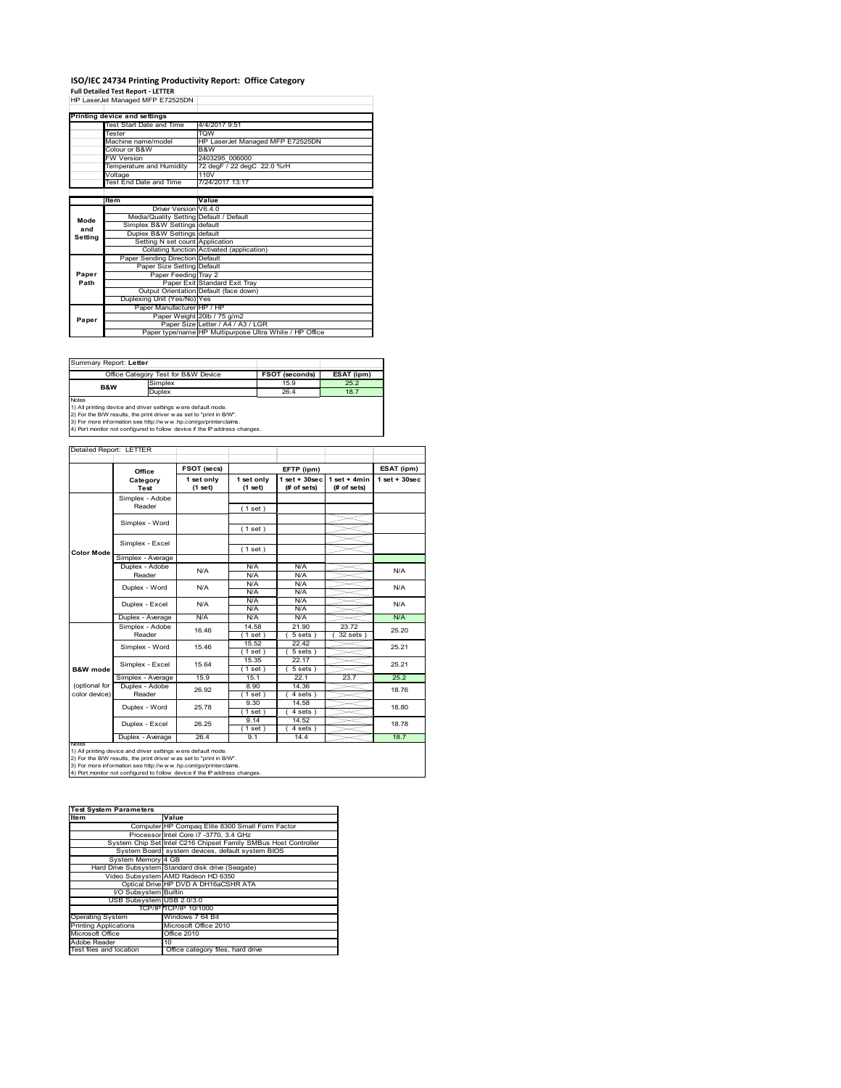# **ISO/IEC 24734 Printing Productivity Report: Office Category<br>Full Detailed Test Report - LETTER<br>HP LaserJet Managed MFP E72525DN |**

|         | Printing device and settings            |                                                         |
|---------|-----------------------------------------|---------------------------------------------------------|
|         | Test Start Date and Time                | 4/4/2017 9:51                                           |
|         | Tester                                  | <b>TQW</b>                                              |
|         | Machine name/model                      | HP LaserJet Managed MFP E72525DN                        |
|         | Colour or B&W                           | B&W                                                     |
|         | <b>FW Version</b>                       | 2403295 006000                                          |
|         | Temperature and Humidity                | 72 degF / 22 degC 22.0 %rH                              |
|         | Voltage                                 | 110V                                                    |
|         | Test End Date and Time                  | 7/24/2017 13:17                                         |
|         |                                         |                                                         |
|         | Item                                    | Value                                                   |
|         | Driver Version V6.4.0                   |                                                         |
| Mode    | Media/Quality Setting Default / Default |                                                         |
| and     | Simplex B&W Settings default            |                                                         |
| Setting | Duplex B&W Settings default             |                                                         |
|         | Setting N set count Application         |                                                         |
|         |                                         | Collating function Activated (application)              |
|         | Paper Sending Direction Default         |                                                         |
|         | Paper Size Setting Default              |                                                         |
| Paper   | Paper Feeding Tray 2                    |                                                         |
| Path    |                                         | Paper Exit Standard Exit Trav                           |
|         |                                         | Output Orientation Default (face down)                  |
|         | Duplexing Unit (Yes/No) Yes             |                                                         |
|         | Paper Manufacturer HP / HP              |                                                         |
| Paper   |                                         | Paper Weight 20lb / 75 g/m2                             |
|         |                                         | Paper Size Letter / A4 / A3 / LGR                       |
|         |                                         | Paper type/name HP Multipurpose Ultra White / HP Office |

Summary Report: **Letter**

|                |                                                                            | Office Category Test for B&W Device | <b>FSOT (seconds)</b> | ESAT (ipm) |  |  |
|----------------|----------------------------------------------------------------------------|-------------------------------------|-----------------------|------------|--|--|
| <b>B&amp;W</b> |                                                                            | Simplex                             | 15.9                  | 25.2       |  |  |
|                |                                                                            | <b>Duplex</b>                       | 26.4                  | 18.7       |  |  |
|                | <b>Notes</b>                                                               |                                     |                       |            |  |  |
|                | 1) All printing device and driver settings were default mode.              |                                     |                       |            |  |  |
|                | 2) For the B/W results, the print driver was set to "print in B/W".        |                                     |                       |            |  |  |
|                | 3) For more information see http://www.hp.com/go/printerclaims.            |                                     |                       |            |  |  |
|                | 4) Port monitor not configured to follow device if the IP address changes. |                                     |                       |            |  |  |

#### Detailed Report: LETTER

|                     | Office            | FSOT (secs)           |                       | EFTP (ipm)                       |                               | ESAT (ipm)        |
|---------------------|-------------------|-----------------------|-----------------------|----------------------------------|-------------------------------|-------------------|
|                     | Category<br>Test  | 1 set only<br>(1 set) | 1 set only<br>(1 set) | $1$ set $+30$ sec<br>(# of sets) | $1$ set + 4min<br>(# of sets) | $1$ set $+30$ sec |
|                     | Simplex - Adobe   |                       |                       |                                  |                               |                   |
|                     | Reader            |                       | (1 set)               |                                  |                               |                   |
|                     |                   |                       |                       |                                  |                               |                   |
|                     | Simplex - Word    |                       | (1 set)               |                                  |                               |                   |
|                     | Simplex - Excel   |                       |                       |                                  |                               |                   |
| <b>Color Mode</b>   |                   |                       | (1 set)               |                                  |                               |                   |
|                     | Simplex - Average |                       |                       |                                  |                               |                   |
|                     | Duplex - Adobe    | N/A                   | N/A                   | N/A                              |                               | N/A               |
|                     | Reader            |                       | N/A                   | N/A                              |                               |                   |
|                     | Duplex - Word     | N/A                   | N/A                   | N/A                              |                               | N/A               |
|                     |                   |                       | N/A                   | N/A                              |                               |                   |
|                     | Duplex - Excel    | N/A                   | N/A                   | N/A                              |                               | N/A               |
|                     |                   |                       | N/A                   | N/A                              |                               |                   |
|                     | Duplex - Average  | N/A                   | N/A                   | N/A                              |                               | N/A               |
|                     | Simplex - Adobe   | 16.46                 | 14.58                 | 21.90                            | 23.72                         | 25.20             |
|                     | Reader            |                       | $1$ set $)$           | 5 sets                           | 32 sets                       |                   |
|                     | Simplex - Word    | 15.46                 | 15.52                 | 22.42                            |                               | 25.21             |
|                     |                   |                       | (1 set)               | $5 sets$ )                       |                               |                   |
|                     | Simplex - Excel   | 15.64                 | 15.35                 | 22.17                            |                               | 25.21             |
| <b>B&amp;W</b> mode |                   |                       | (1 set )              | $5 sets$ )                       |                               |                   |
|                     | Simplex - Average | 15.9                  | 15.1                  | 22.1                             | 23.7                          | 25.2              |
| (optional for       | Duplex - Adobe    | 26.92                 | 8.90                  | 14.36                            |                               | 18.76             |
| color device)       | Reader            |                       | $1$ set)              | 4 sets)                          |                               |                   |
|                     | Duplex - Word     | 25.78                 | 9.30                  | 14.58                            |                               | 18.80             |
|                     |                   |                       | (1 set)               | 4 sets)                          |                               |                   |
|                     | Duplex - Excel    | 26.25                 | 9.14                  | 14.52                            |                               | 18.78             |
|                     |                   |                       | $1$ set)              | 4 sets                           |                               |                   |
| <b>NATAP</b>        | Duplex - Average  | 26.4                  | 9.1                   | 14.4                             |                               | 18.7              |

Notes<br>1) All printing device and driver settings were default mode.<br>2) For the B/W results, the print driver was set to "print in B/W".<br>3) For more information see http://www.hp.com/go/printerclaims.<br>4) Por more informati

| <b>Test System Parameters</b> |                                                                 |  |  |
|-------------------------------|-----------------------------------------------------------------|--|--|
| <b>Item</b>                   | Value                                                           |  |  |
|                               | Computer HP Compaq Elite 8300 Small Form Factor                 |  |  |
|                               | Processor Intel Core i7 -3770, 3.4 GHz                          |  |  |
|                               | System Chip Set Intel C216 Chipset Family SMBus Host Controller |  |  |
|                               | System Board system devices, default system BIOS                |  |  |
| System Memory 4 GB            |                                                                 |  |  |
|                               | Hard Drive Subsystem Standard disk drive (Seagate)              |  |  |
|                               | Video Subsystem AMD Radeon HD 6350                              |  |  |
|                               | Optical Drive HP DVD A DH16aCSHR ATA                            |  |  |
| I/O Subsystem Builtin         |                                                                 |  |  |
| USB Subsystem USB 2.0/3.0     |                                                                 |  |  |
|                               | TCP/IPITCP/IP 10/1000                                           |  |  |
| <b>Operating System</b>       | Windows 7 64 Bit                                                |  |  |
| <b>Printing Applications</b>  | Microsoft Office 2010                                           |  |  |
| Microsoft Office              | <b>Office 2010</b>                                              |  |  |
| Adobe Reader                  | 10                                                              |  |  |
| Test files and location       | Office category files, hard drive                               |  |  |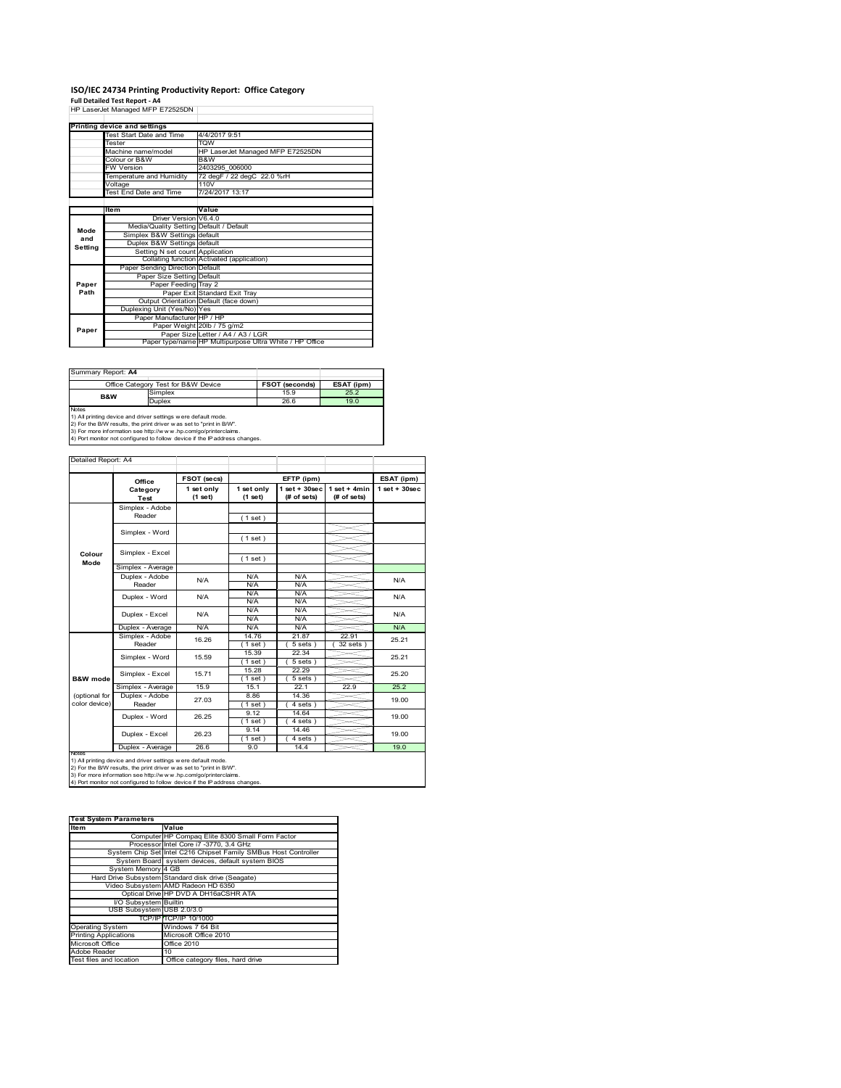# **ISO/IEC 24734 Printing Productivity Report: Office Category<br>Full Detailed Test Report - A4<br>HP LaserJet Managed MFP E72525DN |**

|         | HP Laserjet Manaded MFP E72525DN        |                                                         |
|---------|-----------------------------------------|---------------------------------------------------------|
|         |                                         |                                                         |
|         | Printing device and settings            |                                                         |
|         | Test Start Date and Time                | 4/4/2017 9:51                                           |
|         | Tester                                  | TQW                                                     |
|         | Machine name/model                      | HP LaserJet Managed MFP E72525DN                        |
|         | Colour or B&W                           | B&W                                                     |
|         | <b>FW Version</b>                       | 2403295 006000                                          |
|         | Temperature and Humidity                | 72 degF / 22 degC 22.0 %rH                              |
|         | Voltage                                 | 110V                                                    |
|         | Test End Date and Time                  | 7/24/2017 13:17                                         |
|         |                                         |                                                         |
|         | Item                                    | Value                                                   |
|         | Driver Version V6.4.0                   |                                                         |
| Mode    | Media/Quality Setting Default / Default |                                                         |
| and     | Simplex B&W Settings default            |                                                         |
| Setting | Duplex B&W Settings default             |                                                         |
|         | Setting N set count Application         |                                                         |
|         |                                         | Collating function Activated (application)              |
|         | Paper Sending Direction Default         |                                                         |
|         | Paper Size Setting Default              |                                                         |
| Paper   | Paper Feeding Tray 2                    |                                                         |
| Path    |                                         | Paper Exit Standard Exit Tray                           |
|         |                                         | Output Orientation Default (face down)                  |
|         | Duplexing Unit (Yes/No) Yes             |                                                         |
|         | Paper Manufacturer HP / HP              |                                                         |
| Paper   |                                         | Paper Weight 20lb / 75 g/m2                             |
|         |                                         | Paper Size Letter / A4 / A3 / LGR                       |
|         |                                         | Paper type/name HP Multipurpose Ultra White / HP Office |

| Summary Report: A4 |                                                                                                                                    |                       |            |  |
|--------------------|------------------------------------------------------------------------------------------------------------------------------------|-----------------------|------------|--|
|                    | Office Category Test for B&W Device                                                                                                | <b>FSOT (seconds)</b> | ESAT (ipm) |  |
| <b>B&amp;W</b>     | Simplex                                                                                                                            | 15.9                  | 25.2       |  |
|                    | <b>Duplex</b>                                                                                                                      | 26.6                  | 19.0       |  |
| <b>Notes</b>       | 1) All printing device and driver settings were default mode.<br>2) For the B/W results the print driver was set to "print in B/W" |                       |            |  |

2) For the B/W results, the print driver w as set to "print in B/W".<br>3) For more information see http://w w w.hp.com/go/printerclaims.<br>4) Port monitor not configured to follow device if the IP address changes.

|                     | Office                  | FSOT (secs)           |                       | EFTP (ipm)                        |                                | ESAT (ipm)         |
|---------------------|-------------------------|-----------------------|-----------------------|-----------------------------------|--------------------------------|--------------------|
|                     | Category<br><b>Test</b> | 1 set only<br>(1 set) | 1 set only<br>(1 set) | $1$ set + $30$ sec<br>(# of sets) | $1 set + 4 min$<br>(# of sets) | $1$ set + $30$ sec |
|                     | Simplex - Adobe         |                       |                       |                                   |                                |                    |
|                     | Reader                  |                       | (1 set)               |                                   |                                |                    |
|                     | Simplex - Word          |                       |                       |                                   |                                |                    |
|                     |                         |                       | (1 set)               |                                   |                                |                    |
| Colour              | Simplex - Excel         |                       |                       |                                   |                                |                    |
| Mode                |                         |                       | (1 set)               |                                   |                                |                    |
|                     | Simplex - Average       |                       |                       |                                   |                                |                    |
|                     | Duplex - Adobe          | N/A                   | N/A                   | N/A                               |                                | N/A                |
|                     | Reader                  |                       | N/A                   | N/A                               |                                |                    |
|                     | Duplex - Word           | N/A                   | N/A                   | N/A                               |                                | N/A                |
|                     |                         |                       | N/A                   | N/A                               |                                |                    |
|                     | Duplex - Excel          | N/A                   | N/A                   | N/A                               |                                | N/A                |
|                     |                         |                       | N/A                   | N/A                               |                                |                    |
|                     | Duplex - Average        | N/A                   | N/A                   | N/A                               |                                | N/A                |
|                     | Simplex - Adobe         | 16.26                 | 14.76                 | 21.87                             | 22.91                          | 25.21              |
|                     | Reader                  |                       | (1 set)               | $5 sets$ )                        | 32 sets                        |                    |
|                     | Simplex - Word          | 15.59                 | 15.39                 | 22.34                             |                                | 25.21              |
|                     |                         |                       | (1 set)               | $5 sets$ )                        |                                |                    |
|                     | Simplex - Excel         | 15.71                 | 15.28                 | 22.29                             |                                | 25.20              |
| <b>B&amp;W</b> mode |                         |                       | (1 set)               | $5 sets$ )                        |                                |                    |
|                     | Simplex - Average       | 15.9                  | 15.1                  | 22.1                              | 22.9                           | 25.2               |
| (optional for       | Duplex - Adobe          | 27.03                 | 8.86                  | 14.36                             |                                | 19.00              |
| color device)       | Reader                  |                       | $1$ set)              | 4 sets)                           |                                |                    |
|                     | Duplex - Word           | 26.25                 | 9.12                  | 14.64                             |                                | 19.00              |
|                     |                         |                       | (1 set)               | 4 sets)                           |                                |                    |
|                     | Duplex - Excel          | 26.23                 | 9.14                  | 14.46                             |                                | 19.00              |
|                     |                         |                       | $1$ set)              | 4 sets)                           |                                |                    |
|                     | Duplex - Average        | 26.6                  | 9.0                   | 14.4                              |                                | 19.0               |

| <b>Test System Parameters</b> |                                                                 |  |  |
|-------------------------------|-----------------------------------------------------------------|--|--|
| ltem                          | Value                                                           |  |  |
|                               | Computer HP Compaq Elite 8300 Small Form Factor                 |  |  |
|                               | Processor Intel Core i7 -3770, 3.4 GHz                          |  |  |
|                               | System Chip Set Intel C216 Chipset Family SMBus Host Controller |  |  |
|                               | System Board system devices, default system BIOS                |  |  |
| System Memory 4 GB            |                                                                 |  |  |
|                               | Hard Drive Subsystem Standard disk drive (Seagate)              |  |  |
|                               | Video Subsystem AMD Radeon HD 6350                              |  |  |
|                               | Optical Drive HP DVD A DH16aCSHR ATA                            |  |  |
| I/O Subsystem Builtin         |                                                                 |  |  |
| USB Subsystem USB 2.0/3.0     |                                                                 |  |  |
|                               | TCP/IPITCP/IP 10/1000                                           |  |  |
| <b>Operating System</b>       | Windows 7 64 Bit                                                |  |  |
| <b>Printing Applications</b>  | Microsoft Office 2010                                           |  |  |
| Microsoft Office              | Office 2010                                                     |  |  |
| Adobe Reader                  | 10                                                              |  |  |
| Test files and location       | Office category files, hard drive                               |  |  |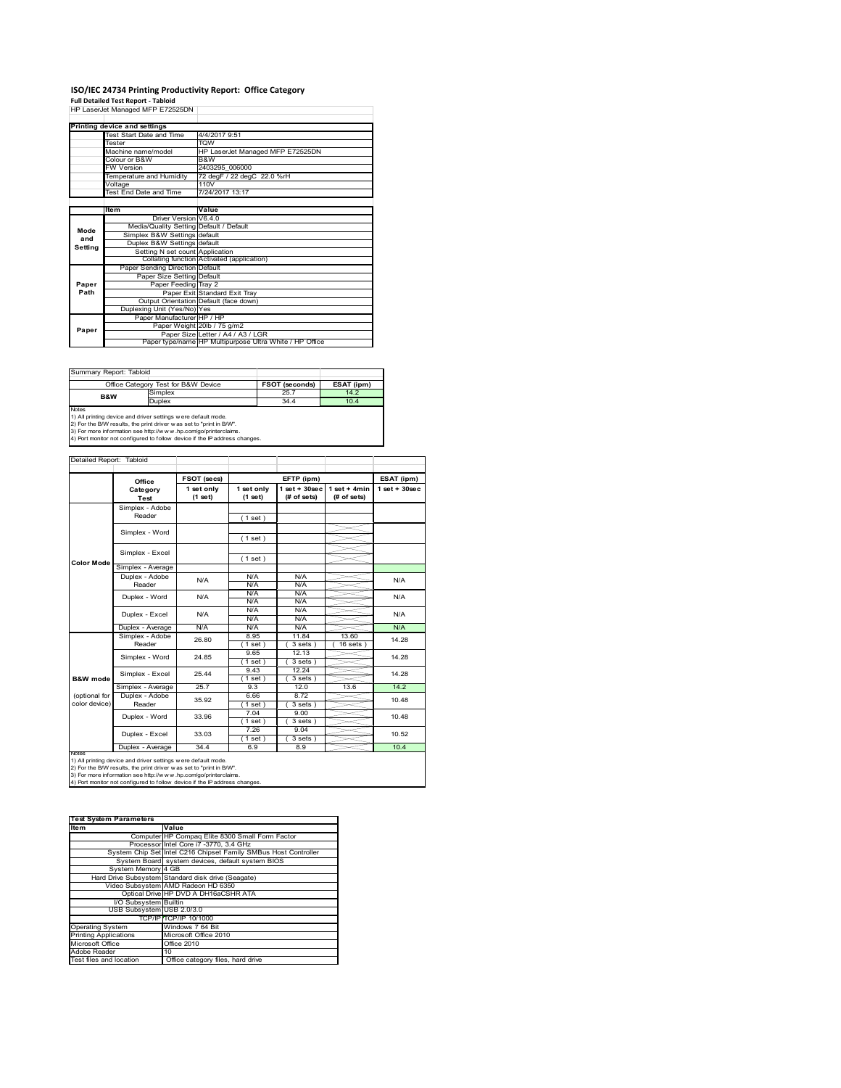# **ISO/IEC 24734 Printing Productivity Report: Office Category<br>Full Detailed Test Report - Tabloid<br>HP LaserJet Managed MFP E72525DN |**

|         | HP Laserjet manaded MFP E72525DN        |                                                         |
|---------|-----------------------------------------|---------------------------------------------------------|
|         |                                         |                                                         |
|         | Printing device and settings            |                                                         |
|         | Test Start Date and Time                | 4/4/2017 9:51                                           |
|         | <b>Tester</b>                           | <b>TOW</b>                                              |
|         | Machine name/model                      | HP LaserJet Managed MFP E72525DN                        |
|         | Colour or B&W                           | B&W                                                     |
|         | <b>FW Version</b>                       | 2403295 006000                                          |
|         | Temperature and Humidity                | 72 degF / 22 degC 22.0 %rH                              |
|         | Voltage                                 | 110V                                                    |
|         | Test End Date and Time                  | 7/24/2017 13:17                                         |
|         |                                         |                                                         |
|         | Item                                    | Value                                                   |
|         | Driver Version V6.4.0                   |                                                         |
| Mode    | Media/Quality Setting Default / Default |                                                         |
| and     | Simplex B&W Settings default            |                                                         |
| Setting | Duplex B&W Settings default             |                                                         |
|         | Setting N set count Application         |                                                         |
|         |                                         | Collating function Activated (application)              |
|         | Paper Sending Direction Default         |                                                         |
|         | Paper Size Setting Default              |                                                         |
| Paper   | Paper Feeding Tray 2                    |                                                         |
| Path    |                                         | Paper Exit Standard Exit Tray                           |
|         |                                         | Output Orientation Default (face down)                  |
|         | Duplexing Unit (Yes/No) Yes             |                                                         |
|         | Paper Manufacturer HP / HP              |                                                         |
| Paper   |                                         | Paper Weight 20lb / 75 g/m2                             |
|         |                                         | Paper Size Letter / A4 / A3 / LGR                       |
|         |                                         | Paper type/name HP Multipurpose Ultra White / HP Office |

| Summary Report: Tabloid                                                                                                                              |                                     |                       |            |  |  |
|------------------------------------------------------------------------------------------------------------------------------------------------------|-------------------------------------|-----------------------|------------|--|--|
|                                                                                                                                                      | Office Category Test for B&W Device | <b>FSOT (seconds)</b> | ESAT (ipm) |  |  |
| <b>B&amp;W</b>                                                                                                                                       | Simplex                             | 25.7                  | 14.2       |  |  |
|                                                                                                                                                      | <b>Duplex</b>                       | 34.4                  | 10.4       |  |  |
| <b>Notes</b><br>1) All printing device and driver settings were default mode.<br>2) For the B/W results, the print driver was set to "print in B/W". |                                     |                       |            |  |  |

2) For the B/W results, the print driver w as set to "print in B/W".<br>3) For more information see http://w w w.hp.com/go/printerclaims.<br>4) Port monitor not configured to follow device if the IP address changes.

|                     | Office                  | FSOT (secs)           |                       | EFTP (ipm)                        |                                | ESAT (ipm)         |
|---------------------|-------------------------|-----------------------|-----------------------|-----------------------------------|--------------------------------|--------------------|
|                     | Category<br><b>Test</b> | 1 set only<br>(1 set) | 1 set only<br>(1 set) | $1$ set + $30$ sec<br>(# of sets) | $1 set + 4 min$<br>(# of sets) | $1$ set + $30$ sec |
|                     | Simplex - Adobe         |                       |                       |                                   |                                |                    |
|                     | Reader                  |                       | (1 set)               |                                   |                                |                    |
|                     |                         |                       |                       |                                   |                                |                    |
|                     | Simplex - Word          |                       | (1 set)               |                                   |                                |                    |
|                     | Simplex - Excel         |                       |                       |                                   |                                |                    |
| <b>Color Mode</b>   |                         |                       | (1 set)               |                                   |                                |                    |
|                     | Simplex - Average       |                       |                       |                                   |                                |                    |
|                     | Duplex - Adobe          | N/A                   | N/A                   | N/A                               |                                | N/A                |
|                     | Reader                  |                       | N/A                   | N/A                               |                                |                    |
|                     | Duplex - Word           | N/A                   | N/A                   | N/A                               |                                | N/A                |
|                     |                         |                       | N/A                   | N/A                               |                                |                    |
|                     | Duplex - Excel          | N/A                   | N/A<br>N/A            | N/A<br>N/A                        |                                | N/A                |
|                     | Duplex - Average        | N/A                   | N/A                   | N/A                               |                                | N/A                |
|                     | Simplex - Adobe         |                       | 8.95                  | 11.84                             | 13.60                          |                    |
|                     | Reader                  | 26.80                 | $1$ set)              | $3 sets$ )                        | $16 sets$ )                    | 14.28              |
|                     |                         | 24.85                 | 9.65                  | 12.13                             |                                | 14.28              |
|                     | Simplex - Word          |                       | $1$ set)              | 3 sets)                           |                                |                    |
|                     | Simplex - Excel         | 25.44                 | 9.43                  | 12.24                             |                                | 14.28              |
| <b>B&amp;W</b> mode |                         |                       | $1$ set)              | 3 sets)                           |                                |                    |
|                     | Simplex - Average       | 25.7                  | 93                    | 12.0                              | 13.6                           | 14.2               |
| (optional for       | Duplex - Adobe          | 35.92                 | 6.66                  | 8.72                              |                                | 10.48              |
| color device)       | Reader                  |                       | $1$ set)              | $3 sets$ )                        |                                |                    |
|                     | Duplex - Word           | 33.96                 | 7.04                  | 9.00                              |                                | 10.48              |
|                     |                         |                       | (1 set)               | $3 sets$ )                        |                                |                    |
|                     | Duplex - Excel          | 33.03                 | 7.26                  | 9.04                              |                                | 10.52              |
|                     |                         |                       | $1$ set)              | $3 sets$ )                        |                                |                    |
| <b>IVOIES</b>       | Duplex - Average        | 34.4                  | 6.9                   | 8.9                               |                                | 10.4               |

| <b>Test System Parameters</b> |                                                                 |  |  |
|-------------------------------|-----------------------------------------------------------------|--|--|
| ltem                          | Value                                                           |  |  |
|                               | Computer HP Compaq Elite 8300 Small Form Factor                 |  |  |
|                               | Processor Intel Core i7 -3770, 3.4 GHz                          |  |  |
|                               | System Chip Set Intel C216 Chipset Family SMBus Host Controller |  |  |
|                               | System Board system devices, default system BIOS                |  |  |
| System Memory 4 GB            |                                                                 |  |  |
|                               | Hard Drive Subsystem Standard disk drive (Seagate)              |  |  |
|                               | Video Subsystem AMD Radeon HD 6350                              |  |  |
|                               | Optical Drive HP DVD A DH16aCSHR ATA                            |  |  |
| I/O Subsystem Builtin         |                                                                 |  |  |
| USB Subsystem USB 2.0/3.0     |                                                                 |  |  |
|                               | TCP/IPITCP/IP 10/1000                                           |  |  |
| <b>Operating System</b>       | Windows 7 64 Bit                                                |  |  |
| <b>Printing Applications</b>  | Microsoft Office 2010                                           |  |  |
| Microsoft Office              | Office 2010                                                     |  |  |
| Adobe Reader                  | 10                                                              |  |  |
| Test files and location       | Office category files, hard drive                               |  |  |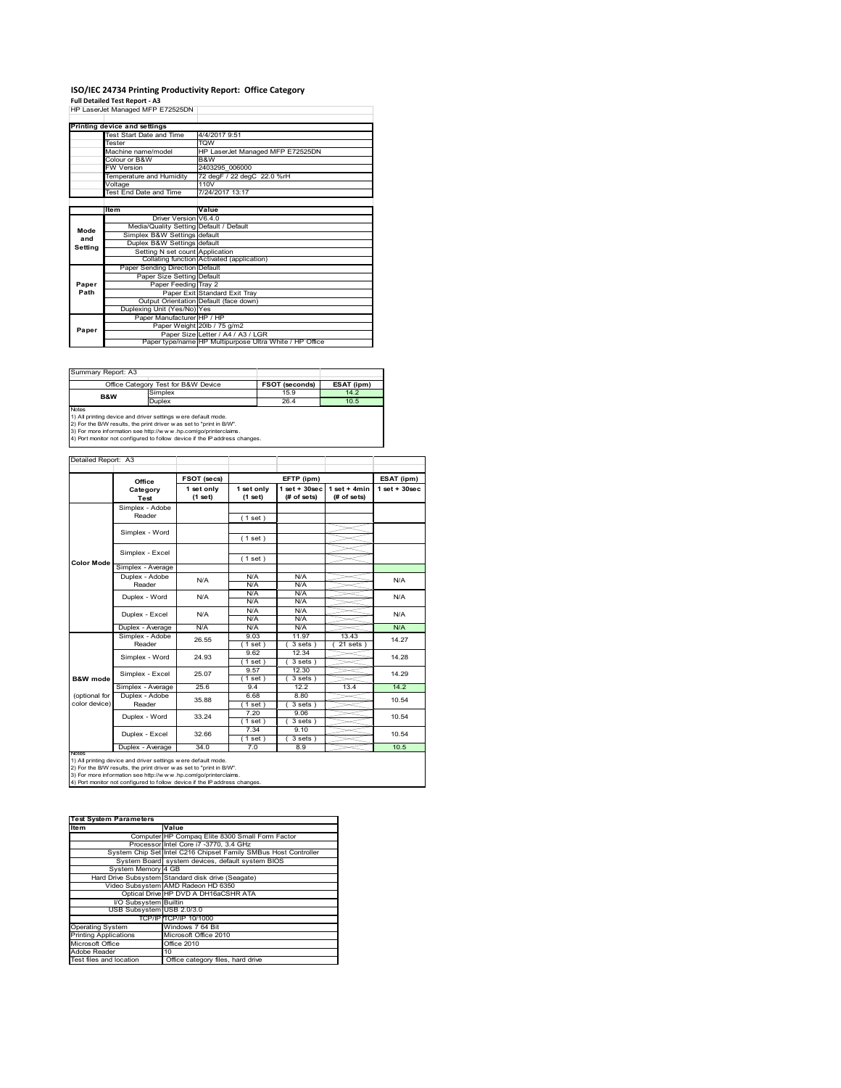# **ISO/IEC 24734 Printing Productivity Report: Office Category<br>Full Detailed Test Report - A3<br>HP LaserJet Managed MFP E72525DN |**

|         | HP Laserjet Manaded MFP E72525DN        |                                                         |
|---------|-----------------------------------------|---------------------------------------------------------|
|         |                                         |                                                         |
|         | Printing device and settings            |                                                         |
|         | Test Start Date and Time                | 4/4/2017 9:51                                           |
|         | Tester                                  | <b>TQW</b>                                              |
|         | Machine name/model                      | HP LaserJet Managed MFP E72525DN                        |
|         | Colour or B&W                           | B&W                                                     |
|         | <b>FW Version</b>                       | 2403295 006000                                          |
|         | Temperature and Humidity                | 72 degF / 22 degC 22.0 %rH                              |
|         | Voltage                                 | 110V                                                    |
|         | Test End Date and Time                  | 7/24/2017 13:17                                         |
|         |                                         |                                                         |
|         | Item                                    | Value                                                   |
|         | Driver Version V6.4.0                   |                                                         |
| Mode    | Media/Quality Setting Default / Default |                                                         |
| and     | Simplex B&W Settings default            |                                                         |
| Setting | Duplex B&W Settings default             |                                                         |
|         | Setting N set count Application         |                                                         |
|         |                                         | Collating function Activated (application)              |
|         | Paper Sending Direction Default         |                                                         |
|         | Paper Size Setting Default              |                                                         |
| Paper   | Paper Feeding Tray 2                    |                                                         |
| Path    |                                         | Paper Exit Standard Exit Tray                           |
|         |                                         | Output Orientation Default (face down)                  |
|         | Duplexing Unit (Yes/No) Yes             |                                                         |
|         | Paper Manufacturer HP / HP              |                                                         |
| Paper   |                                         | Paper Weight 20lb / 75 g/m2                             |
|         |                                         | Paper Size Letter / A4 / A3 / LGR                       |
|         |                                         | Paper type/name HP Multipurpose Ultra White / HP Office |

| Summary Report: A3 |                                                                     |                |            |  |  |  |
|--------------------|---------------------------------------------------------------------|----------------|------------|--|--|--|
|                    | Office Category Test for B&W Device                                 | FSOT (seconds) | ESAT (ipm) |  |  |  |
| B&W                | Simplex                                                             | 15.9           | 14.2       |  |  |  |
|                    | <b>Duplex</b>                                                       | 26.4           | 10.5       |  |  |  |
| <b>Notes</b>       |                                                                     |                |            |  |  |  |
|                    | 1) All printing device and driver settings were default mode.       |                |            |  |  |  |
|                    | 2) For the B/W results, the print driver was set to "print in B/W". |                |            |  |  |  |

2) For the B/W results, the print driver w as set to "print in B/W".<br>3) For more information see http://w w w.hp.com/go/printerclaims.<br>4) Port monitor not configured to follow device if the IP address changes.

|                     | Office                  | FSOT (secs)           | EFTP (ipm)            |                                |                               | ESAT (ipm)         |
|---------------------|-------------------------|-----------------------|-----------------------|--------------------------------|-------------------------------|--------------------|
|                     | Category<br><b>Test</b> | 1 set only<br>(1 set) | 1 set only<br>(1 set) | $1$ set + 30sec<br>(# of sets) | $1$ set + 4min<br>(# of sets) | $1$ set + $30$ sec |
|                     | Simplex - Adobe         |                       |                       |                                |                               |                    |
|                     | Reader                  |                       | (1 set)               |                                |                               |                    |
|                     |                         |                       |                       |                                |                               |                    |
|                     | Simplex - Word          |                       | (1 set)               |                                |                               |                    |
|                     | Simplex - Excel         |                       |                       |                                |                               |                    |
| <b>Color Mode</b>   |                         |                       | (1 set)               |                                |                               |                    |
|                     | Simplex - Average       |                       |                       |                                |                               |                    |
|                     | Duplex - Adobe          | N/A                   | N/A                   | N/A                            |                               | N/A                |
|                     | Reader                  |                       | N/A                   | N/A                            |                               |                    |
|                     | Duplex - Word           | N/A                   | N/A                   | N/A                            |                               | N/A                |
|                     |                         |                       | N/A                   | N/A                            |                               |                    |
|                     | Duplex - Excel          | N/A                   | N/A                   | N/A                            |                               | N/A                |
|                     |                         |                       | N/A                   | N/A                            |                               |                    |
|                     | Duplex - Average        | N/A                   | N/A                   | N/A                            |                               | N/A                |
|                     | Simplex - Adobe         | 26.55                 | 9.03                  | 11.97                          | 13.43                         | 14.27              |
|                     | Reader                  |                       | 1 set)                | $3 sets$ )                     | $21$ sets $)$                 |                    |
|                     | Simplex - Word          | 24.93                 | 9.62                  | 12.34                          |                               | 14.28              |
|                     |                         |                       | $1$ set)              | $3 sets$ )                     |                               |                    |
|                     | Simplex - Excel         | 25.07                 | 9.57                  | 12.30                          |                               | 14.29              |
| <b>B&amp;W</b> mode |                         |                       | (1 set)               | 3 sets)                        |                               |                    |
|                     | Simplex - Average       | 25.6                  | 9.4                   | 12.2                           | 13.4                          | 14.2               |
| (optional for       | Duplex - Adobe          | 35.88                 | 6.68                  | 8.80                           |                               | 10.54              |
| color device)       | Reader                  |                       | $1$ set)              | $3 sets$ )                     |                               |                    |
|                     | Duplex - Word           | 33.24                 | 7.20                  | 9.06                           |                               | 10.54              |
|                     |                         |                       | (1 set)               | $3 sets$ )                     |                               |                    |
|                     | Duplex - Excel          | 32.66                 | 7.34                  | 9.10                           |                               | 10.54              |
|                     |                         |                       | $1$ set)              | $3 sets$ )                     |                               |                    |
| <b>IVOIES</b>       | Duplex - Average        | 34.0                  | 7.0                   | 8.9                            |                               | 10.5               |

| <b>Test System Parameters</b> |                                                                 |  |  |  |
|-------------------------------|-----------------------------------------------------------------|--|--|--|
| ltem                          | Value                                                           |  |  |  |
|                               |                                                                 |  |  |  |
|                               | Computer HP Compaq Elite 8300 Small Form Factor                 |  |  |  |
|                               | Processor Intel Core i7 -3770, 3.4 GHz                          |  |  |  |
|                               | System Chip Set Intel C216 Chipset Family SMBus Host Controller |  |  |  |
|                               | System Board system devices, default system BIOS                |  |  |  |
| System Memory 4 GB            |                                                                 |  |  |  |
|                               | Hard Drive Subsystem Standard disk drive (Seagate)              |  |  |  |
|                               | Video Subsystem AMD Radeon HD 6350                              |  |  |  |
|                               | Optical Drive HP DVD A DH16aCSHR ATA                            |  |  |  |
| I/O Subsystem Builtin         |                                                                 |  |  |  |
| USB Subsystem USB 2.0/3.0     |                                                                 |  |  |  |
|                               | TCP/IPITCP/IP 10/1000                                           |  |  |  |
| <b>Operating System</b>       | Windows 7 64 Bit                                                |  |  |  |
| <b>Printing Applications</b>  | Microsoft Office 2010                                           |  |  |  |
| Microsoft Office              | Office 2010                                                     |  |  |  |
| Adobe Reader                  | 10                                                              |  |  |  |
| Test files and location       | Office category files, hard drive                               |  |  |  |
|                               |                                                                 |  |  |  |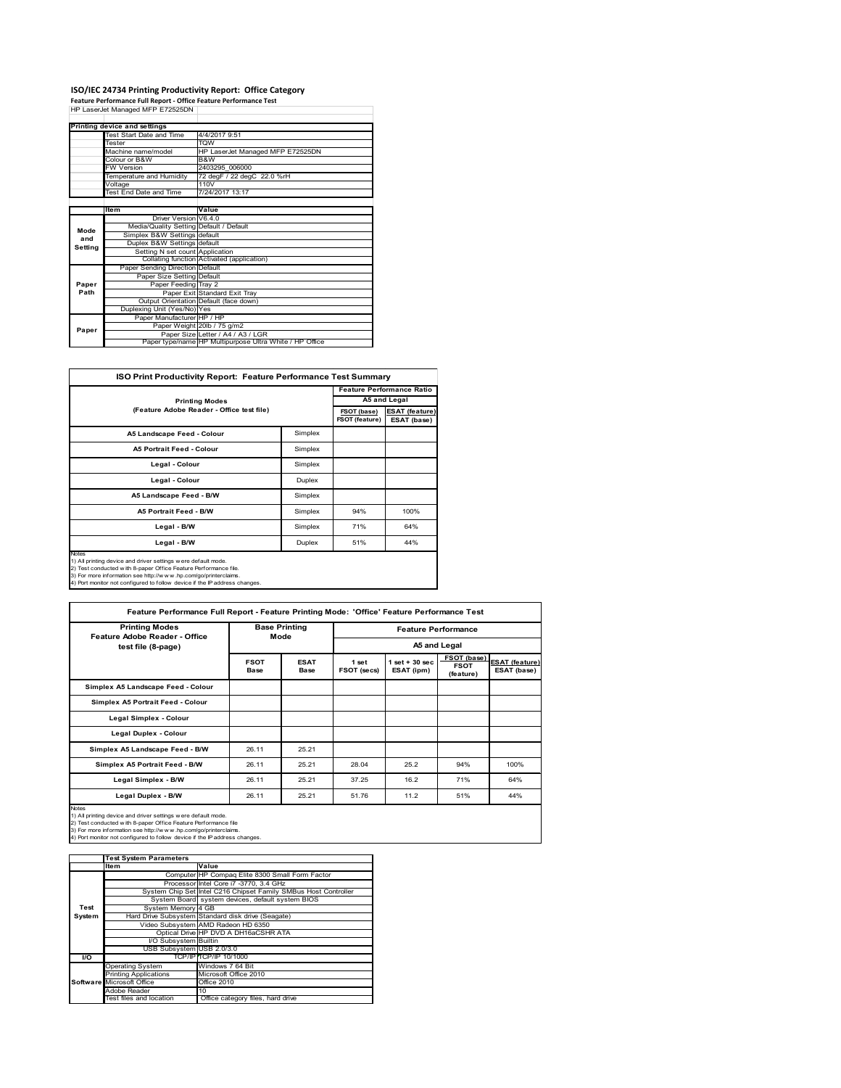# **ISO/IEC 24734 Printing Productivity Report: Office Category<br>Feature Performance Full Report - Office Feature Performance Test<br>HP LaserJet Managed MFP E72525DN |**

|         | Printing device and settings            |                                                         |
|---------|-----------------------------------------|---------------------------------------------------------|
|         | Test Start Date and Time                | 4/4/2017 9:51                                           |
|         | Tester                                  | <b>TQW</b>                                              |
|         | Machine name/model                      | HP LaserJet Managed MFP E72525DN                        |
|         | Colour or B&W                           | B&W                                                     |
|         | <b>FW Version</b>                       | 2403295 006000                                          |
|         | Temperature and Humidity                | 72 degF / 22 degC 22.0 %rH                              |
|         | Voltage                                 | 110V                                                    |
|         | Test End Date and Time                  | 7/24/2017 13:17                                         |
|         |                                         |                                                         |
|         | Item                                    | Value                                                   |
|         | Driver Version V6.4.0                   |                                                         |
| Mode    | Media/Quality Setting Default / Default |                                                         |
| and     | Simplex B&W Settings default            |                                                         |
| Setting | Duplex B&W Settings default             |                                                         |
|         | Setting N set count Application         |                                                         |
|         |                                         | Collating function Activated (application)              |
|         | Paper Sending Direction Default         |                                                         |
|         | Paper Size Setting Default              |                                                         |
| Paper   | Paper Feeding Tray 2                    |                                                         |
| Path    |                                         | Paper Exit Standard Exit Tray                           |
|         |                                         | Output Orientation Default (face down)                  |
|         | Duplexing Unit (Yes/No) Yes             |                                                         |
|         | Paper Manufacturer HP / HP              |                                                         |
| Paper   |                                         | Paper Weight 20lb / 75 g/m2                             |
|         |                                         | Paper Size Letter / A4 / A3 / LGR                       |
|         |                                         | Paper type/name HP Multipurpose Ultra White / HP Office |

|                                                                                                                                                                                                                                                                                            |         |     | <b>Feature Performance Ratio</b> |  |  |
|--------------------------------------------------------------------------------------------------------------------------------------------------------------------------------------------------------------------------------------------------------------------------------------------|---------|-----|----------------------------------|--|--|
| <b>Printing Modes</b>                                                                                                                                                                                                                                                                      |         |     | A5 and Legal                     |  |  |
| (Feature Adobe Reader - Office test file)                                                                                                                                                                                                                                                  |         |     |                                  |  |  |
| A5 Landscape Feed - Colour                                                                                                                                                                                                                                                                 | Simplex |     |                                  |  |  |
| <b>A5 Portrait Feed - Colour</b>                                                                                                                                                                                                                                                           | Simplex |     |                                  |  |  |
| Legal - Colour                                                                                                                                                                                                                                                                             | Simplex |     |                                  |  |  |
| Legal - Colour                                                                                                                                                                                                                                                                             | Duplex  |     |                                  |  |  |
| A5 Landscape Feed - B/W                                                                                                                                                                                                                                                                    | Simplex |     |                                  |  |  |
| <b>A5 Portrait Feed - B/W</b>                                                                                                                                                                                                                                                              | Simplex | 94% | 100%                             |  |  |
| Legal - B/W                                                                                                                                                                                                                                                                                | Simplex | 71% | 64%                              |  |  |
| Legal - B/W                                                                                                                                                                                                                                                                                | Duplex  | 51% | 44%                              |  |  |
| Notes<br>1) All printing device and driver settings were default mode.<br>2) Test conducted with 8-paper Office Feature Performance file.<br>3) For more information see http://www.hp.com/go/printerclaims.<br>4) Port monitor not configured to follow device if the IP address changes. |         |     |                                  |  |  |

| Feature Performance Full Report - Feature Printing Mode: 'Office' Feature Performance Test                                                                                                                                                                                                          |                              |                            |                            |                                 |                                         |                                      |  |
|-----------------------------------------------------------------------------------------------------------------------------------------------------------------------------------------------------------------------------------------------------------------------------------------------------|------------------------------|----------------------------|----------------------------|---------------------------------|-----------------------------------------|--------------------------------------|--|
| <b>Printing Modes</b><br><b>Feature Adobe Reader - Office</b>                                                                                                                                                                                                                                       | <b>Base Printing</b><br>Mode |                            | <b>Feature Performance</b> |                                 |                                         |                                      |  |
| test file (8-page)                                                                                                                                                                                                                                                                                  |                              |                            | A5 and Legal               |                                 |                                         |                                      |  |
|                                                                                                                                                                                                                                                                                                     | <b>FSOT</b><br><b>Base</b>   | <b>ESAT</b><br><b>Base</b> | 1 set<br>FSOT (secs)       | $1$ set $+30$ sec<br>ESAT (ipm) | FSOT (base)<br><b>FSOT</b><br>(feature) | <b>ESAT (feature)</b><br>ESAT (base) |  |
| Simplex A5 Landscape Feed - Colour                                                                                                                                                                                                                                                                  |                              |                            |                            |                                 |                                         |                                      |  |
| Simplex A5 Portrait Feed - Colour                                                                                                                                                                                                                                                                   |                              |                            |                            |                                 |                                         |                                      |  |
| Legal Simplex - Colour                                                                                                                                                                                                                                                                              |                              |                            |                            |                                 |                                         |                                      |  |
| Legal Duplex - Colour                                                                                                                                                                                                                                                                               |                              |                            |                            |                                 |                                         |                                      |  |
| Simplex A5 Landscape Feed - B/W                                                                                                                                                                                                                                                                     | 26.11                        | 25.21                      |                            |                                 |                                         |                                      |  |
| Simplex A5 Portrait Feed - B/W                                                                                                                                                                                                                                                                      | 26.11                        | 25.21                      | 28.04                      | 25.2                            | 94%                                     | 100%                                 |  |
| Legal Simplex - B/W                                                                                                                                                                                                                                                                                 | 26.11                        | 25.21                      | 37.25                      | 16.2                            | 71%                                     | 64%                                  |  |
| Legal Duplex - B/W                                                                                                                                                                                                                                                                                  | 26.11                        | 25.21                      | 51.76                      | 11.2                            | 51%                                     | 44%                                  |  |
| <b>Notes</b><br>1) All printing device and driver settings were default mode.<br>2) Test conducted with 8-paper Office Feature Performance file<br>3) For more information see http://w w w .hp.com/go/printerclaims.<br>4) Port monitor not configured to follow device if the IP address changes. |                              |                            |                            |                                 |                                         |                                      |  |

|        | <b>Test System Parameters</b> |                                                                 |
|--------|-------------------------------|-----------------------------------------------------------------|
|        | <b>Item</b>                   | Value                                                           |
|        |                               | Computer HP Compaq Elite 8300 Small Form Factor                 |
|        |                               | Processor Intel Core i7 -3770, 3.4 GHz                          |
|        |                               | System Chip Set Intel C216 Chipset Family SMBus Host Controller |
|        |                               | System Board system devices, default system BIOS                |
| Test   | System Memory 4 GB            |                                                                 |
| System |                               | Hard Drive Subsystem Standard disk drive (Seagate)              |
|        |                               | Video Subsystem AMD Radeon HD 6350                              |
|        |                               | Optical Drive HP DVD A DH16aCSHR ATA                            |
|        | I/O Subsystem Builtin         |                                                                 |
|        | USB Subsystem USB 2.0/3.0     |                                                                 |
| I/O    |                               | TCP/IP TCP/IP 10/1000                                           |
|        | <b>Operating System</b>       | Windows 7 64 Bit                                                |
|        | <b>Printing Applications</b>  | Microsoft Office 2010                                           |
|        | Software Microsoft Office     | <b>Office 2010</b>                                              |
|        | Adobe Reader                  | 10                                                              |
|        | Test files and location       | Office category files, hard drive                               |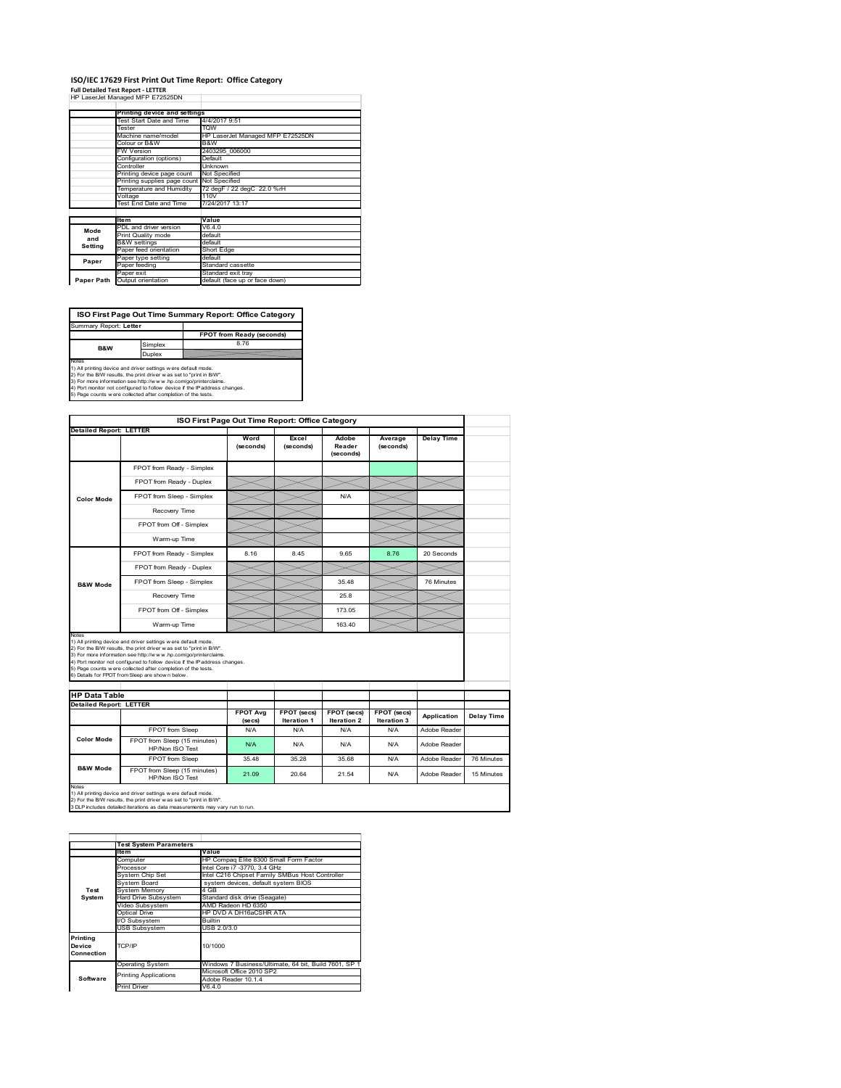#### **ISO/IEC 17629 First Print Out Time Report: Office Category Full Detailed Test Report ‐ LETTER** HP LaserJet Managed MFP E72525DN  $\overline{1}$

|            | cassive, managed m. . c.cocoo.             |                                  |  |
|------------|--------------------------------------------|----------------------------------|--|
|            | Printing device and settings               |                                  |  |
|            | Test Start Date and Time                   | 4/4/2017 9:51                    |  |
|            | Tester                                     | <b>TOW</b>                       |  |
|            | Machine name/model                         | HP LaserJet Managed MFP E72525DN |  |
|            | Colour or B&W                              | B&W                              |  |
|            | <b>FW Version</b>                          | 2403295 006000                   |  |
|            | Configuration (options)                    | Default                          |  |
|            | Controller                                 | Unknown                          |  |
|            | Printing device page count                 | Not Specified                    |  |
|            | Printing supplies page count Not Specified |                                  |  |
|            | Temperature and Humidity                   | 72 degF / 22 degC 22.0 %rH       |  |
|            | Voltage                                    | 110V                             |  |
|            | Test End Date and Time                     | 7/24/2017 13:17                  |  |
|            |                                            |                                  |  |
|            | <b>Item</b>                                | Value                            |  |
| Mode       | PDL and driver version                     | V6.4.0                           |  |
| and        | Print Quality mode                         | default                          |  |
| Setting    | <b>B&amp;W</b> settings                    | default                          |  |
|            | Paper feed orientation                     | Short Edge                       |  |
| Paper      | Paper type setting                         | default                          |  |
|            | Paper feeding                              | Standard cassette                |  |
|            | Paper exit                                 | Standard exit tray               |  |
| Paper Path | Output orientation                         | default (face up or face down)   |  |

**FPOT from Ready (seconds)**<br>Simplex 8.76 **ISO First Page Out Time Summary Report: Office Category** Summary Report: **Letter B&W**

**Duplex**<br>Notes<br>1) All printing device and driver settings were default mode.<br>2) For the BM results, the print driver was set to "print in BM".<br>4) For more information see http://www.hp.com/golprinterclaims.<br>4) Port monitor

| <b>Detailed Report: LETTER</b> | ISO First Page Out Time Report: Office Category                                                                                                                                                                                                                                                                                                                                                             |                   |                           |                              |                      |                   |            |
|--------------------------------|-------------------------------------------------------------------------------------------------------------------------------------------------------------------------------------------------------------------------------------------------------------------------------------------------------------------------------------------------------------------------------------------------------------|-------------------|---------------------------|------------------------------|----------------------|-------------------|------------|
|                                |                                                                                                                                                                                                                                                                                                                                                                                                             | Word<br>(seconds) | Excel<br>(seconds)        | Adobe<br>Reader<br>(seconds) | Average<br>(seconds) | <b>Delay Time</b> |            |
|                                | FPOT from Ready - Simplex                                                                                                                                                                                                                                                                                                                                                                                   |                   |                           |                              |                      |                   |            |
|                                | FPOT from Ready - Duplex                                                                                                                                                                                                                                                                                                                                                                                    |                   |                           |                              |                      |                   |            |
| <b>Color Mode</b>              | FPOT from Sleep - Simplex                                                                                                                                                                                                                                                                                                                                                                                   |                   |                           | N/A                          |                      |                   |            |
|                                | Recovery Time                                                                                                                                                                                                                                                                                                                                                                                               |                   |                           |                              |                      |                   |            |
|                                | FPOT from Off - Simplex                                                                                                                                                                                                                                                                                                                                                                                     |                   |                           |                              |                      |                   |            |
|                                | Warm-up Time                                                                                                                                                                                                                                                                                                                                                                                                |                   |                           |                              |                      |                   |            |
|                                | FPOT from Ready - Simplex                                                                                                                                                                                                                                                                                                                                                                                   | 8.16              | 8.45                      | 9.65                         | 8.76                 | 20 Seconds        |            |
|                                | FPOT from Ready - Duplex                                                                                                                                                                                                                                                                                                                                                                                    |                   |                           |                              |                      |                   |            |
| <b>B&amp;W Mode</b>            | FPOT from Sleep - Simplex                                                                                                                                                                                                                                                                                                                                                                                   |                   |                           | 35.48                        |                      | 76 Minutes        |            |
|                                | Recovery Time                                                                                                                                                                                                                                                                                                                                                                                               |                   |                           | 25.8                         |                      |                   |            |
|                                | FPOT from Off - Simplex                                                                                                                                                                                                                                                                                                                                                                                     |                   |                           | 173.05                       |                      |                   |            |
|                                | Warm-up Time                                                                                                                                                                                                                                                                                                                                                                                                |                   |                           | 163.40                       |                      |                   |            |
|                                |                                                                                                                                                                                                                                                                                                                                                                                                             |                   |                           |                              |                      |                   |            |
| Notes                          | 1) All printing device and driver settings w ere default mode.<br>2) For the B/W results, the print driver was set to "print in B/W".<br>3) For more information see http://www.hp.com/go/printerclaims.<br>4) Port monitor not configured to follow device if the IP address changes.<br>5) Page counts w ere collected after completion of the tests.<br>6) Details for FPOT from Sleep are show n below. |                   |                           |                              |                      |                   |            |
| <b>HP Data Table</b>           |                                                                                                                                                                                                                                                                                                                                                                                                             |                   |                           |                              |                      |                   |            |
| <b>Detailed Report: LETTER</b> |                                                                                                                                                                                                                                                                                                                                                                                                             | <b>FPOT Avg</b>   | FPOT (secs)               | FPOT (secs)                  | FPOT (secs)          | Application       |            |
|                                | FPOT from Sleep                                                                                                                                                                                                                                                                                                                                                                                             | (se cs)<br>N/A    | <b>Iteration 1</b><br>N/A | Iteration 2<br>N/A           | Iteration 3<br>N/A   | Adobe Reader      | Delay Time |
| <b>Color Mode</b>              | FPOT from Sleep (15 minutes)<br>HP/Non ISO Test                                                                                                                                                                                                                                                                                                                                                             | N/A               | N/A                       | N/A                          | N/A                  | Adobe Reader      |            |
| <b>B&amp;W Mode</b>            | FPOT from Sleep                                                                                                                                                                                                                                                                                                                                                                                             | 35.48             | 35 28                     | 35 68                        | N/A                  | Adobe Reader      | 76 Minutes |

1) All printing device and driver settings w ere default mode.<br>2) For the B/W results, the print driver w as set to "print in B/W".<br>3 DLP includes detailed iterations as data measurements may vary run to run.

|                                  | <b>Test System Parameters</b> |                                                       |
|----------------------------------|-------------------------------|-------------------------------------------------------|
|                                  | Item                          | Value                                                 |
|                                  | Computer                      | HP Compag Elite 8300 Small Form Factor                |
|                                  | Processor                     | Intel Core i7 -3770, 3.4 GHz                          |
|                                  | System Chip Set               | Intel C216 Chipset Family SMBus Host Controller       |
|                                  | System Board                  | system devices, default system BIOS                   |
| Test                             | <b>System Memory</b>          | 4 GB                                                  |
| System                           | <b>Hard Drive Subsystem</b>   | Standard disk drive (Seagate)                         |
|                                  | Video Subsystem               | AMD Radeon HD 6350                                    |
|                                  | Optical Drive                 | HP DVD A DH16aCSHR ATA                                |
|                                  | I/O Subsystem                 | <b>Builtin</b>                                        |
|                                  | <b>USB Subsystem</b>          | USB 2.0/3.0                                           |
| Printing<br>Device<br>Connection | TCP/IP                        | 10/1000                                               |
|                                  | <b>Operating System</b>       | Windows 7 Business/Ultimate, 64 bit, Build 7601, SP 1 |
|                                  | <b>Printing Applications</b>  | Microsoft Office 2010 SP2                             |
| Software                         |                               | Adobe Reader 10.1.4                                   |
|                                  | <b>Print Driver</b>           | V6.4.0                                                |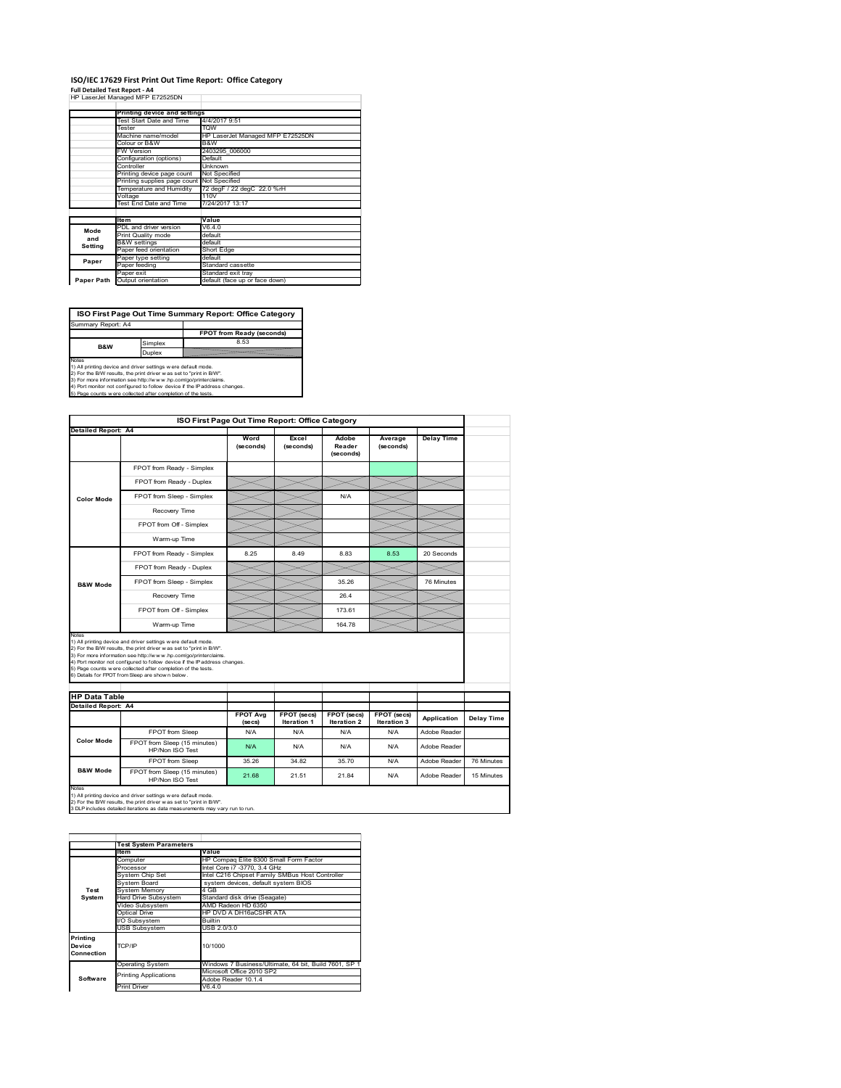#### **ISO/IEC 17629 First Print Out Time Report: Office Category Full Detailed Test Report ‐ A4**

|            | i uli betalled Test Report - A+<br>HP LaserJet Managed MFP E72525DN |                                  |
|------------|---------------------------------------------------------------------|----------------------------------|
|            |                                                                     |                                  |
|            | Printing device and settings                                        |                                  |
|            | Test Start Date and Time                                            | 4/4/2017 9:51                    |
|            | Tester                                                              | <b>TOW</b>                       |
|            | Machine name/model                                                  | HP LaserJet Managed MFP E72525DN |
|            | Colour or B&W                                                       | B&W                              |
|            | FW Version                                                          | 2403295 006000                   |
|            | Configuration (options)                                             | Default                          |
|            | Controller                                                          | Unknown                          |
|            | Printing device page count                                          | Not Specified                    |
|            | Printing supplies page count                                        | Not Specified                    |
|            | Temperature and Humidity                                            | 72 degF / 22 degC 22.0 %rH       |
|            | Voltage                                                             | 110V                             |
|            | Test End Date and Time                                              | 7/24/2017 13:17                  |
|            |                                                                     |                                  |
|            | <b>Item</b>                                                         | Value                            |
| Mode       | PDL and driver version                                              | V6.4.0                           |
| and        | Print Quality mode                                                  | default                          |
| Setting    | <b>B&amp;W</b> settings                                             | default                          |
|            | Paper feed orientation                                              | Short Edge                       |
| Paper      | Paper type setting                                                  | default                          |
|            | Paper feeding                                                       | Standard cassette                |
|            | Paper exit                                                          | Standard exit tray               |
| Paper Path | Output orientation                                                  | default (face up or face down)   |

**ISO First Page Out Time Summary Report: Office Category**

**FPOT from Ready (seconds)** implex 8.53 Duplex Notes<br>1) All printing device and driver settings were default mode.<br>2) For the BAV results, the print driver was set to "print in BAV".<br>3) For more information see http://www.hp.com/golprinterclaims.<br>4) Port monitor not co Summary Report: A4 **B&W**

|                                                             |                                                                                                                                                                                                                                                                                                                                                                                                             | ISO First Page Out Time Report: Office Category |                    |                              |                      |                              |            |
|-------------------------------------------------------------|-------------------------------------------------------------------------------------------------------------------------------------------------------------------------------------------------------------------------------------------------------------------------------------------------------------------------------------------------------------------------------------------------------------|-------------------------------------------------|--------------------|------------------------------|----------------------|------------------------------|------------|
| Detailed Report: A4                                         |                                                                                                                                                                                                                                                                                                                                                                                                             |                                                 |                    |                              |                      |                              |            |
|                                                             |                                                                                                                                                                                                                                                                                                                                                                                                             | Word<br>(seconds)                               | Excel<br>(seconds) | Adobe<br>Reader<br>(seconds) | Average<br>(seconds) | <b>Delay Time</b>            |            |
|                                                             | FPOT from Ready - Simplex                                                                                                                                                                                                                                                                                                                                                                                   |                                                 |                    |                              |                      |                              |            |
|                                                             | FPOT from Ready - Duplex                                                                                                                                                                                                                                                                                                                                                                                    |                                                 |                    |                              |                      |                              |            |
| <b>Color Mode</b>                                           | FPOT from Sleep - Simplex                                                                                                                                                                                                                                                                                                                                                                                   |                                                 |                    | N/A                          |                      |                              |            |
|                                                             | Recovery Time                                                                                                                                                                                                                                                                                                                                                                                               |                                                 |                    |                              |                      |                              |            |
|                                                             | FPOT from Off - Simplex                                                                                                                                                                                                                                                                                                                                                                                     |                                                 |                    |                              |                      |                              |            |
|                                                             | Warm-up Time                                                                                                                                                                                                                                                                                                                                                                                                |                                                 |                    |                              |                      |                              |            |
|                                                             | FPOT from Ready - Simplex                                                                                                                                                                                                                                                                                                                                                                                   | 8.25                                            | 8.49               | 8.83                         | 8.53                 | 20 Seconds                   |            |
|                                                             | FPOT from Ready - Duplex                                                                                                                                                                                                                                                                                                                                                                                    |                                                 |                    |                              |                      |                              |            |
| <b>B&amp;W Mode</b>                                         | FPOT from Sleep - Simplex                                                                                                                                                                                                                                                                                                                                                                                   |                                                 |                    | 35.26                        |                      | 76 Minutes                   |            |
|                                                             | Recovery Time                                                                                                                                                                                                                                                                                                                                                                                               |                                                 |                    | 26.4                         |                      |                              |            |
|                                                             |                                                                                                                                                                                                                                                                                                                                                                                                             |                                                 |                    |                              |                      |                              |            |
|                                                             | FPOT from Off - Simplex                                                                                                                                                                                                                                                                                                                                                                                     |                                                 |                    | 173.61                       |                      |                              |            |
|                                                             | Warm-up Time                                                                                                                                                                                                                                                                                                                                                                                                |                                                 |                    | 164.78                       |                      |                              |            |
| Notes<br><b>HP Data Table</b><br><b>Detailed Report: A4</b> | 1) All printing device and driver settings w ere default mode.<br>2) For the B/W results, the print driver was set to "print in B/W".<br>3) For more information see http://www.hp.com/go/printerclaims.<br>4) Port monitor not configured to follow device if the IP address changes.<br>5) Page counts w ere collected after completion of the tests.<br>6) Details for FPOT from Sleep are show n below. | <b>FPOT Avg</b>                                 | FPOT (secs)        | FPOT (secs)                  | FPOT (secs)          |                              |            |
|                                                             |                                                                                                                                                                                                                                                                                                                                                                                                             | (se cs)                                         | Iteration 1        | Iteration 2                  | Iteration 3          | Application                  | Delay Time |
| <b>Color Mode</b>                                           | FPOT from Sleep<br>FPOT from Sleep (15 minutes)                                                                                                                                                                                                                                                                                                                                                             | N/A<br>N/A                                      | N/A<br>N/A         | N/A<br>N/A                   | N/A<br>N/A           | Adobe Reader<br>Adobe Reader |            |
|                                                             | HP/Non ISO Test<br>FPOT from Sleep                                                                                                                                                                                                                                                                                                                                                                          | 35.26                                           | 34.82              | 35.70                        | N/A                  | Adobe Reader                 | 76 Minutes |

|                                  | <b>Test System Parameters</b>                         |                                                       |  |  |
|----------------------------------|-------------------------------------------------------|-------------------------------------------------------|--|--|
|                                  | <b>Item</b>                                           | Value                                                 |  |  |
|                                  | Computer                                              | HP Compag Elite 8300 Small Form Factor                |  |  |
|                                  | Processor                                             | Intel Core i7 -3770, 3.4 GHz                          |  |  |
|                                  | System Chip Set                                       | Intel C216 Chipset Family SMBus Host Controller       |  |  |
|                                  | System Board                                          | system devices, default system BIOS                   |  |  |
| Test                             | <b>System Memory</b>                                  | 4 GB                                                  |  |  |
| System                           | Hard Drive Subsystem<br>Standard disk drive (Seagate) |                                                       |  |  |
|                                  | AMD Radeon HD 6350<br>Video Subsystem                 |                                                       |  |  |
|                                  | Optical Drive                                         | HP DVD A DH16aCSHR ATA                                |  |  |
|                                  | I/O Subsystem                                         | <b>Builtin</b>                                        |  |  |
|                                  | <b>USB Subsystem</b>                                  | USB 2.0/3.0                                           |  |  |
| Printing<br>Device<br>Connection | TCP/IP                                                | 10/1000                                               |  |  |
|                                  | <b>Operating System</b>                               | Windows 7 Business/Ultimate, 64 bit, Build 7601, SP 1 |  |  |
|                                  | <b>Printing Applications</b>                          | Microsoft Office 2010 SP2                             |  |  |
| Software                         |                                                       | Adobe Reader 10.1.4                                   |  |  |
|                                  | <b>Print Driver</b>                                   | V6.4.0                                                |  |  |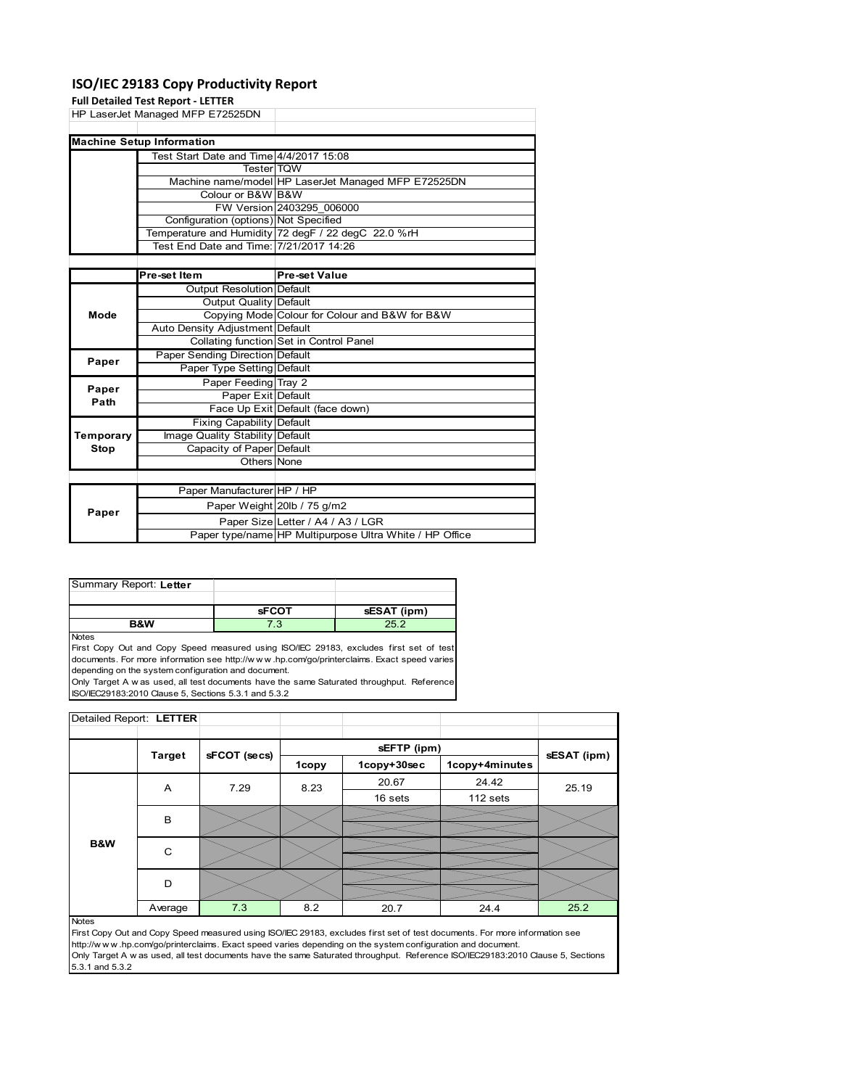### **ISO/IEC 29183 Copy Productivity Report**

|             | <b>Full Detailed Test Report - LETTER</b> |                                                         |
|-------------|-------------------------------------------|---------------------------------------------------------|
|             | HP LaserJet Managed MFP E72525DN          |                                                         |
|             |                                           |                                                         |
|             | <b>Machine Setup Information</b>          |                                                         |
|             | Test Start Date and Time 4/4/2017 15:08   |                                                         |
|             | <b>TesterITQW</b>                         |                                                         |
|             |                                           | Machine name/model HP LaserJet Managed MFP E72525DN     |
|             | Colour or B&W B&W                         |                                                         |
|             |                                           | FW Version 2403295 006000                               |
|             | Configuration (options) Not Specified     |                                                         |
|             |                                           | Temperature and Humidity 72 degF / 22 degC 22.0 %rH     |
|             | Test End Date and Time: 7/21/2017 14:26   |                                                         |
|             |                                           |                                                         |
|             | Pre-set Item                              | <b>Pre-set Value</b>                                    |
|             | Output Resolution Default                 |                                                         |
|             | Output Quality Default                    |                                                         |
| Mode        |                                           | Copying Mode Colour for Colour and B&W for B&W          |
|             | Auto Density Adjustment Default           |                                                         |
|             |                                           | Collating function Set in Control Panel                 |
| Paper       | <b>Paper Sending Direction Default</b>    |                                                         |
|             | Paper Type Setting Default                |                                                         |
| Paper       | Paper Feeding Tray 2                      |                                                         |
| Path        | Paper Exit Default                        |                                                         |
|             |                                           | Face Up Exit Default (face down)                        |
|             | Fixing Capability Default                 |                                                         |
| Temporary   | Image Quality Stability Default           |                                                         |
| <b>Stop</b> | Capacity of Paper Default                 |                                                         |
|             | Others None                               |                                                         |
|             |                                           |                                                         |
|             | Paper Manufacturer HP / HP                |                                                         |
|             |                                           | Paper Weight 20lb / 75 g/m2                             |
| Paper       |                                           | Paper Size Letter / A4 / A3 / LGR                       |
|             |                                           | Paper type/name HP Multipurpose Ultra White / HP Office |

| Summary Report: Letter |              |             |
|------------------------|--------------|-------------|
|                        |              |             |
|                        |              |             |
|                        | <b>SFCOT</b> | sESAT (ipm) |

**Notes** 

First Copy Out and Copy Speed measured using ISO/IEC 29183, excludes first set of test documents. For more information see http://w w w .hp.com/go/printerclaims. Exact speed varies depending on the system configuration and document.

Only Target A w as used, all test documents have the same Saturated throughput. Reference ISO/IEC29183:2010 Clause 5, Sections 5.3.1 and 5.3.2

| Detailed Report: LETTER |               |              |              |             |                |             |
|-------------------------|---------------|--------------|--------------|-------------|----------------|-------------|
|                         |               |              |              |             |                |             |
|                         |               | sFCOT (secs) |              | sEFTP (ipm) |                | sESAT (ipm) |
|                         | <b>Target</b> |              | <b>1copy</b> | 1copy+30sec | 1copy+4minutes |             |
|                         | A             | 7.29         | 8.23         | 20.67       | 24.42          | 25.19       |
|                         |               |              |              | 16 sets     | 112 sets       |             |
|                         | B             |              |              |             |                |             |
| <b>B&amp;W</b>          | C             |              |              |             |                |             |
|                         | D             |              |              |             |                |             |
|                         | Average       | 7.3          | 8.2          | 20.7        | 24.4           | 25.2        |

#### Notes

First Copy Out and Copy Speed measured using ISO/IEC 29183, excludes first set of test documents. For more information see http://w w w .hp.com/go/printerclaims. Exact speed varies depending on the system configuration and document. Only Target A w as used, all test documents have the same Saturated throughput. Reference ISO/IEC29183:2010 Clause 5, Sections 5.3.1 and 5.3.2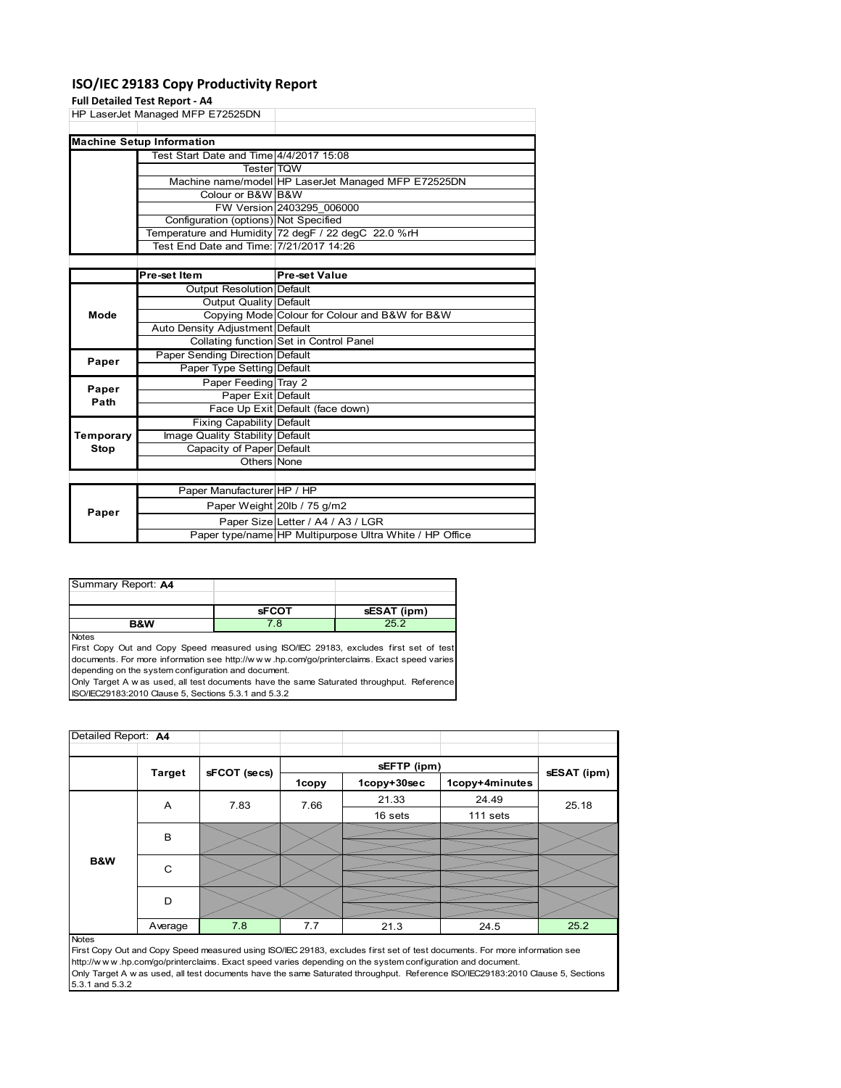### **ISO/IEC 29183 Copy Productivity Report**

#### **Full Detailed Test Report ‐ A4**

|           | <b>Full Detailed Test Report - A4</b>   |                                                     |
|-----------|-----------------------------------------|-----------------------------------------------------|
|           | HP LaserJet Managed MFP E72525DN        |                                                     |
|           |                                         |                                                     |
|           | <b>Machine Setup Information</b>        |                                                     |
|           | Test Start Date and Time 4/4/2017 15:08 |                                                     |
|           | <b>Tester</b> TOW                       |                                                     |
|           |                                         | Machine name/model HP LaserJet Managed MFP E72525DN |
|           | Colour or B&W B&W                       |                                                     |
|           |                                         | FW Version 2403295 006000                           |
|           | Configuration (options) Not Specified   |                                                     |
|           |                                         | Temperature and Humidity 72 degF / 22 degC 22.0 %rH |
|           | Test End Date and Time: 7/21/2017 14:26 |                                                     |
|           |                                         |                                                     |
|           | Pre-set Item                            | <b>Pre-set Value</b>                                |
|           | <b>Output Resolution Default</b>        |                                                     |
|           | <b>Output Quality Default</b>           |                                                     |
| Mode      |                                         | Copying Mode Colour for Colour and B&W for B&W      |
|           | Auto Density Adjustment Default         |                                                     |
|           |                                         | Collating function Set in Control Panel             |
| Paper     | Paper Sending Direction Default         |                                                     |
|           | Paper Type Setting Default              |                                                     |
| Paper     | Paper Feeding Tray 2                    |                                                     |
| Path      | Paper Exit Default                      |                                                     |
|           |                                         | Face Up Exit Default (face down)                    |
|           | <b>Fixing Capability Default</b>        |                                                     |
| Temporary | Image Quality Stability Default         |                                                     |
| Stop      | Capacity of Paper Default               |                                                     |
|           | Others None                             |                                                     |
|           |                                         |                                                     |
|           | Paper Manufacturer HP / HP              |                                                     |
|           |                                         |                                                     |

| Paper | Paper Manufacturer HP / HP |                                                         |
|-------|----------------------------|---------------------------------------------------------|
|       |                            | Paper Weight 20lb / 75 g/m2                             |
|       |                            | Paper Size Letter / A4 / A3 / LGR                       |
|       |                            | Paper type/name HP Multipurpose Ultra White / HP Office |
|       |                            |                                                         |

| Summary Report: A4 |              |             |
|--------------------|--------------|-------------|
|                    |              |             |
|                    | <b>sFCOT</b> | sESAT (ipm) |
| <b>B&amp;W</b>     |              | 25.2        |

Notes

First Copy Out and Copy Speed measured using ISO/IEC 29183, excludes first set of test documents. For more information see http://w w w .hp.com/go/printerclaims. Exact speed varies depending on the system configuration and document.

Only Target A w as used, all test documents have the same Saturated throughput. Reference ISO/IEC29183:2010 Clause 5, Sections 5.3.1 and 5.3.2

| Detailed Report: A4 |               |              |       |             |                |             |
|---------------------|---------------|--------------|-------|-------------|----------------|-------------|
|                     | <b>Target</b> |              |       | sEFTP (ipm) |                | sESAT (ipm) |
|                     |               | sFCOT (secs) | 1copy | 1copy+30sec | 1copy+4minutes |             |
|                     | Α             | 7.83         | 7.66  | 21.33       | 24.49          | 25.18       |
|                     |               |              |       | 16 sets     | 111 sets       |             |
|                     | B             |              |       |             |                |             |
| B&W                 | C             |              |       |             |                |             |
|                     | D             |              |       |             |                |             |
|                     | Average       | 7.8          | 7.7   | 21.3        | 24.5           | 25.2        |
| <b>Notes</b>        |               |              |       |             |                |             |

First Copy Out and Copy Speed measured using ISO/IEC 29183, excludes first set of test documents. For more information see http://w w w .hp.com/go/printerclaims. Exact speed varies depending on the system configuration and document. Only Target A w as used, all test documents have the same Saturated throughput. Reference ISO/IEC29183:2010 Clause 5, Sections 5.3.1 and 5.3.2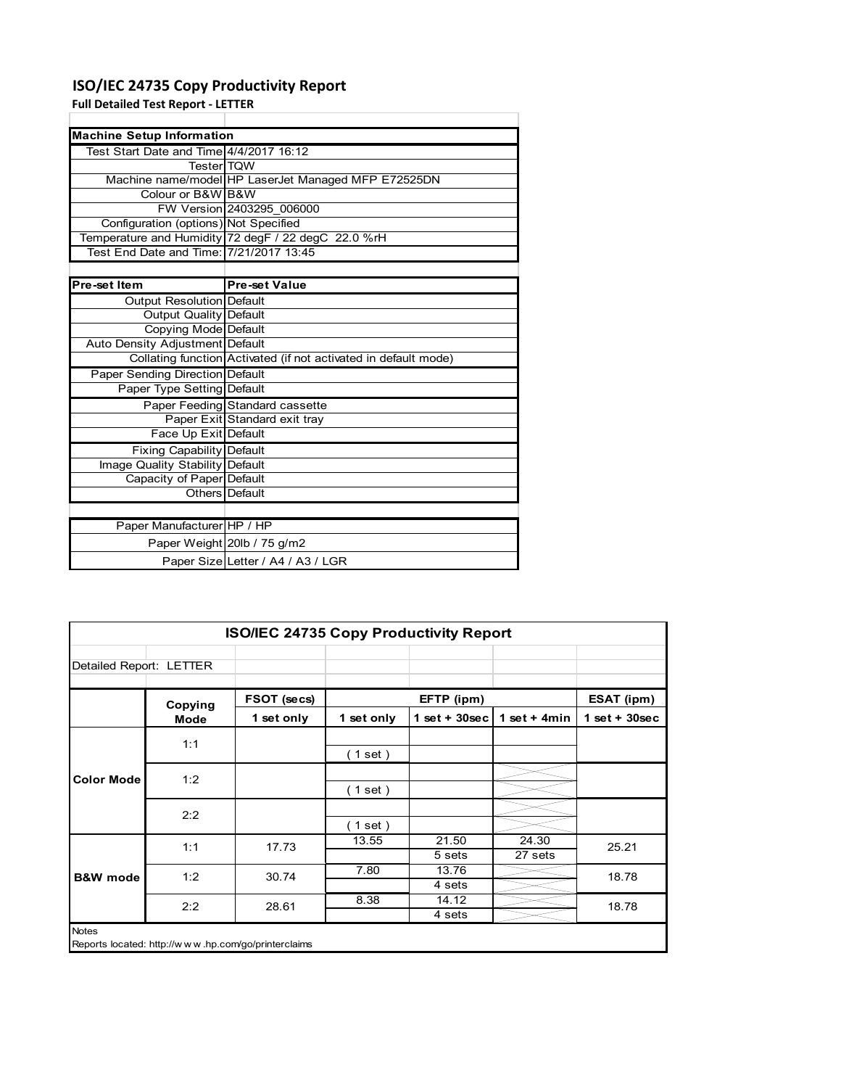### **ISO/IEC 24735 Copy Productivity Report**

Paper Weight 20lb / 75 g/m2

Paper Size Letter / A4 / A3 / LGR

**Full Detailed Test Report ‐ LETTER**

| <b>Machine Setup Information</b>        |                                                                 |
|-----------------------------------------|-----------------------------------------------------------------|
| Test Start Date and Time 4/4/2017 16:12 |                                                                 |
| <b>Tester</b> TOW                       |                                                                 |
|                                         | Machine name/model HP LaserJet Managed MFP E72525DN             |
| Colour or B&W B&W                       |                                                                 |
|                                         | FW Version 2403295 006000                                       |
| Configuration (options) Not Specified   |                                                                 |
|                                         | Temperature and Humidity 72 degF / 22 degC 22.0 %rH             |
| Test End Date and Time: 7/21/2017 13:45 |                                                                 |
|                                         |                                                                 |
| Pre-set Item                            | <b>Pre-set Value</b>                                            |
| Output Resolution Default               |                                                                 |
| Output Quality Default                  |                                                                 |
| Copying Mode Default                    |                                                                 |
| Auto Density Adjustment Default         |                                                                 |
|                                         | Collating function Activated (if not activated in default mode) |
| Paper Sending Direction Default         |                                                                 |
| Paper Type Setting Default              |                                                                 |
|                                         | Paper Feeding Standard cassette                                 |
|                                         | Paper Exit Standard exit tray                                   |
| Face Up Exit Default                    |                                                                 |
| Fixing Capability Default               |                                                                 |
| Image Quality Stability Default         |                                                                 |
| Capacity of Paper Default               |                                                                 |
|                                         | Others Default                                                  |
|                                         |                                                                 |
| Paper Manufacturer HP / HP              |                                                                 |

| <b>ISO/IEC 24735 Copy Productivity Report</b> |                                                     |             |                  |                  |                |                 |  |
|-----------------------------------------------|-----------------------------------------------------|-------------|------------------|------------------|----------------|-----------------|--|
| Detailed Report: LETTER                       |                                                     |             |                  |                  |                |                 |  |
|                                               | Copying                                             | FSOT (secs) |                  | EFTP (ipm)       |                | ESAT (ipm)      |  |
|                                               | Mode                                                | 1 set only  | 1 set only       | 1 set + $30$ sec | 1 set + $4min$ | $1$ set + 30sec |  |
|                                               | 1:1                                                 |             | (1 set)          |                  |                |                 |  |
| <b>Color Mode</b>                             | 1:2                                                 |             | (1 set)          |                  |                |                 |  |
|                                               | 2:2                                                 |             |                  |                  |                |                 |  |
|                                               |                                                     |             | (1 set)<br>13.55 | 21.50            | 24.30          |                 |  |
|                                               | 1:1                                                 | 17.73       |                  | 5 sets           | 27 sets        | 25.21           |  |
| <b>B&amp;W</b> mode                           | 1:2                                                 | 30.74       | 7.80             | 13.76            |                | 18.78           |  |
|                                               |                                                     |             |                  | 4 sets           |                |                 |  |
|                                               | 2:2                                                 | 28.61       | 8.38             | 14.12            |                | 18.78           |  |
|                                               |                                                     |             |                  | 4 sets           |                |                 |  |
| <b>Notes</b>                                  | Reports located: http://www.hp.com/go/printerclaims |             |                  |                  |                |                 |  |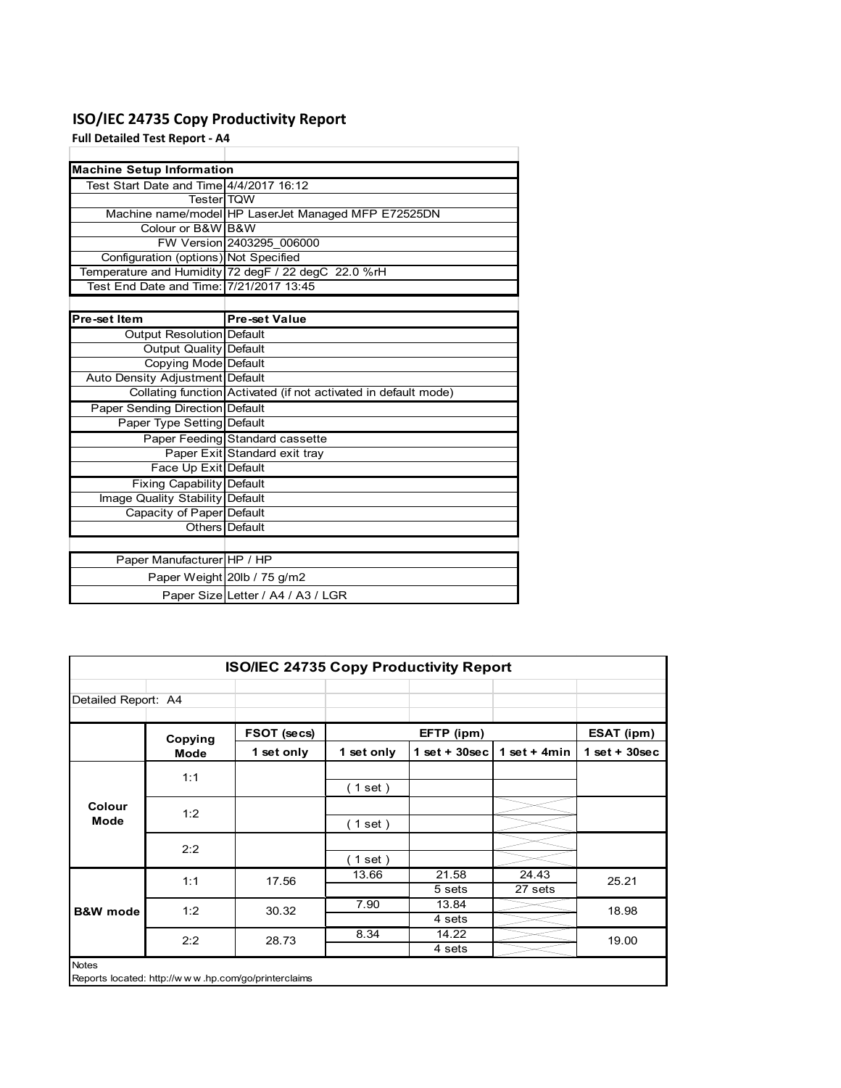### **ISO/IEC 24735 Copy Productivity Report**

**Full Detailed Test Report ‐ A4**

| <b>Machine Setup Information</b>        |                                                                 |  |  |  |  |
|-----------------------------------------|-----------------------------------------------------------------|--|--|--|--|
| Test Start Date and Time 4/4/2017 16:12 |                                                                 |  |  |  |  |
| <b>TesterITOW</b>                       |                                                                 |  |  |  |  |
|                                         | Machine name/model HP LaserJet Managed MFP E72525DN             |  |  |  |  |
| Colour or B&W B&W                       |                                                                 |  |  |  |  |
|                                         | FW Version 2403295 006000                                       |  |  |  |  |
| Configuration (options) Not Specified   |                                                                 |  |  |  |  |
|                                         | Temperature and Humidity 72 degF / 22 degC 22.0 %rH             |  |  |  |  |
| Test End Date and Time: 7/21/2017 13:45 |                                                                 |  |  |  |  |
|                                         |                                                                 |  |  |  |  |
| Pre-set Item                            | <b>Pre-set Value</b>                                            |  |  |  |  |
| Output Resolution Default               |                                                                 |  |  |  |  |
| <b>Output Quality Default</b>           |                                                                 |  |  |  |  |
| Copying Mode Default                    |                                                                 |  |  |  |  |
| Auto Density Adjustment Default         |                                                                 |  |  |  |  |
|                                         | Collating function Activated (if not activated in default mode) |  |  |  |  |
| <b>Paper Sending Direction Default</b>  |                                                                 |  |  |  |  |
| Paper Type Setting Default              |                                                                 |  |  |  |  |
|                                         | Paper Feeding Standard cassette                                 |  |  |  |  |
|                                         | Paper Exit Standard exit tray                                   |  |  |  |  |
| Face Up Exit Default                    |                                                                 |  |  |  |  |
| <b>Fixing Capability Default</b>        |                                                                 |  |  |  |  |
| Image Quality Stability Default         |                                                                 |  |  |  |  |
| Capacity of Paper Default               |                                                                 |  |  |  |  |
|                                         | Others   Default                                                |  |  |  |  |
|                                         |                                                                 |  |  |  |  |
| Paper Manufacturer HP / HP              |                                                                 |  |  |  |  |
|                                         | Paper Weight 20lb / 75 g/m2                                     |  |  |  |  |
|                                         | Paper Size Letter / A4 / A3 / LGR                               |  |  |  |  |

|                       | <b>ISO/IEC 24735 Copy Productivity Report</b> |                                                     |            |                 |                  |                 |  |  |  |
|-----------------------|-----------------------------------------------|-----------------------------------------------------|------------|-----------------|------------------|-----------------|--|--|--|
| Detailed Report: A4   |                                               |                                                     |            |                 |                  |                 |  |  |  |
|                       | Copying                                       | FSOT (secs)                                         |            | EFTP (ipm)      |                  | ESAT (ipm)      |  |  |  |
|                       | Mode                                          | 1 set only                                          | 1 set only | $1$ set + 30sec | 1 set + $4min$   | $1$ set + 30sec |  |  |  |
|                       | 1:1                                           |                                                     | (1 set)    |                 |                  |                 |  |  |  |
| Colour<br><b>Mode</b> | 1:2                                           |                                                     | (1 set)    |                 |                  |                 |  |  |  |
|                       | 2:2                                           |                                                     | (1 set )   |                 |                  |                 |  |  |  |
|                       | 1:1                                           | 17.56                                               | 13.66      | 21.58<br>5 sets | 24.43<br>27 sets | 25.21           |  |  |  |
| <b>B&amp;W</b> mode   | 1:2                                           | 30.32                                               | 7.90       | 13.84<br>4 sets |                  | 18.98           |  |  |  |
|                       | 2:2                                           | 28.73                                               | 8.34       | 14.22<br>4 sets |                  | 19.00           |  |  |  |
| <b>Notes</b>          |                                               | Reports located: http://www.hp.com/go/printerclaims |            |                 |                  |                 |  |  |  |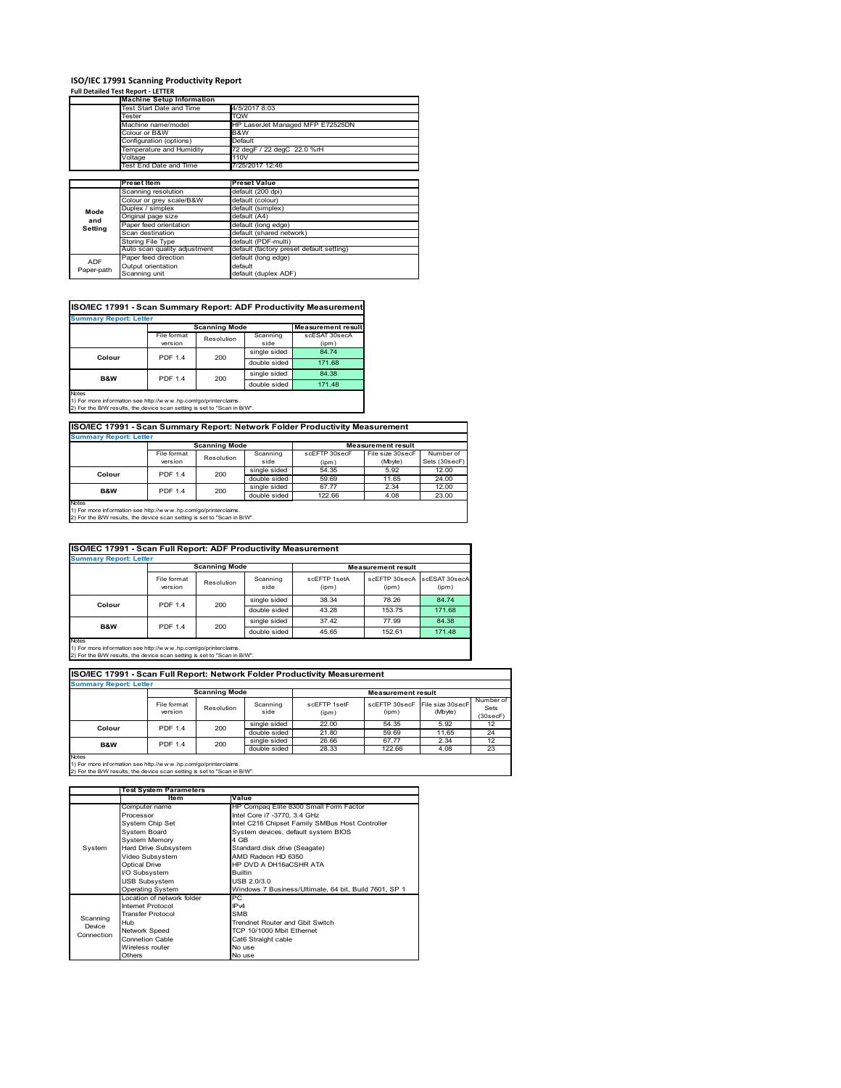### **ISO/IEC 17991 Scanning Productivity Report Full Detailed Test Report ‐ LETTER**

|            | <b>Machine Setup Information</b> |                                          |  |  |  |  |
|------------|----------------------------------|------------------------------------------|--|--|--|--|
|            | Test Start Date and Time         | 4/5/2017 8:03                            |  |  |  |  |
|            | Tester                           | TQW                                      |  |  |  |  |
|            | Machine name/model               | HP LaserJet Managed MFP E72525DN         |  |  |  |  |
|            | Colour or B&W                    | B&W                                      |  |  |  |  |
|            | Configuration (options)          | Default                                  |  |  |  |  |
|            | Temperature and Humidity         | 72 degF / 22 degC 22.0 %rH               |  |  |  |  |
|            | Voltage                          | 110V                                     |  |  |  |  |
|            | Test End Date and Time           | 7/25/2017 12:46                          |  |  |  |  |
|            |                                  |                                          |  |  |  |  |
|            | Preset Item                      | <b>Preset Value</b>                      |  |  |  |  |
|            | Scanning resolution              | default (200 dpi)                        |  |  |  |  |
|            | Colour or grey scale/B&W         | default (colour)                         |  |  |  |  |
| Mode       | Duplex / simplex                 | default (simplex)                        |  |  |  |  |
|            | Original page size               | default (A4)                             |  |  |  |  |
| and        | Paper feed orientation           | default (long edge)                      |  |  |  |  |
| Setting    | Scan destination                 | default (shared network)                 |  |  |  |  |
|            | <b>Storing File Type</b>         | default (PDF-multi)                      |  |  |  |  |
|            | Auto scan quality adjustment     | default (factory preset default setting) |  |  |  |  |
| <b>ADF</b> | Paper feed direction             | default (long edge)                      |  |  |  |  |
|            |                                  |                                          |  |  |  |  |
| Paper-path | Output orientation               | default                                  |  |  |  |  |

| ISO/IEC 17991 - Scan Summary Report: ADF Productivity Measurement |                |                      |              |                           |  |  |  |  |  |  |
|-------------------------------------------------------------------|----------------|----------------------|--------------|---------------------------|--|--|--|--|--|--|
| <b>Summary Report: Letter</b>                                     |                |                      |              |                           |  |  |  |  |  |  |
|                                                                   |                | <b>Scanning Mode</b> |              | <b>Measurement result</b> |  |  |  |  |  |  |
|                                                                   | File format    | Resolution           | Scanning     | scESAT 30secA             |  |  |  |  |  |  |
|                                                                   | version        |                      | side         | (ipm)                     |  |  |  |  |  |  |
| Colour                                                            | <b>PDF 1.4</b> | 200                  | single sided | 84.74                     |  |  |  |  |  |  |
|                                                                   |                |                      | double sided | 171.68                    |  |  |  |  |  |  |
| <b>B&amp;W</b>                                                    | <b>PDF 1.4</b> | 200                  | single sided | 84.38                     |  |  |  |  |  |  |
|                                                                   |                |                      | double sided | 171.48                    |  |  |  |  |  |  |
| <b>Notes</b>                                                      |                |                      |              |                           |  |  |  |  |  |  |

Notes 1) For more information see http://w w w .hp.com/go/printerclaims. 2) For the B/W results, the device scan setting is set to "Scan in B/W".

**ISO/IEC 17991 - Scan Summary Report: Network Folder Productivity Measurement**

| <b>Summary Report: Letter</b> |                      |            |              |                           |                  |               |  |  |
|-------------------------------|----------------------|------------|--------------|---------------------------|------------------|---------------|--|--|
|                               | <b>Scanning Mode</b> |            |              | <b>Measurement result</b> |                  |               |  |  |
|                               | File format          | Resolution | Scanning     | scEFTP 30secF             | File size 30secF | Number of     |  |  |
|                               | version              |            | side         | (ipm)                     | (Mbyte)          | Sets (30secF) |  |  |
| Colour                        | PDF 1.4              | 200        | single sided | 54.35                     | 5.92             | 12.00         |  |  |
|                               |                      |            | double sided | 59.69                     | 11.65            | 24.00         |  |  |
| <b>B&amp;W</b>                | <b>PDF 1.4</b>       | 200        | single sided | 67.77                     | 2.34             | 12.00         |  |  |
|                               |                      |            | double sided | 122.66                    | 4.08             | 23.00         |  |  |
| <b>Notes</b>                  |                      |            |              |                           |                  |               |  |  |

┓

Notes 1) For more information see http://w w w .hp.com/go/printerclaims. 2) For the B/W results, the device scan setting is set to "Scan in B/W".

| ISO/IEC 17991 - Scan Full Report: ADF Productivity Measurement |                        |              |                  |                           |                        |                        |  |  |  |
|----------------------------------------------------------------|------------------------|--------------|------------------|---------------------------|------------------------|------------------------|--|--|--|
| <b>Summary Report: Letter</b>                                  |                        |              |                  |                           |                        |                        |  |  |  |
|                                                                | <b>Scanning Mode</b>   |              |                  | <b>Measurement result</b> |                        |                        |  |  |  |
|                                                                | File format<br>version | Resolution   | Scanning<br>side | scFFTP 1setA<br>(ipm)     | scEFTP 30secA<br>(ipm) | scESAT 30secA<br>(ipm) |  |  |  |
| Colour                                                         | <b>PDF 1.4</b><br>200  |              | single sided     | 38.34                     | 78.26                  | 84.74                  |  |  |  |
|                                                                |                        | double sided | 43.28            | 153.75                    | 171.68                 |                        |  |  |  |
| <b>B&amp;W</b>                                                 | <b>PDF 1.4</b>         |              | single sided     | 37.42                     | 77.99                  | 84.38                  |  |  |  |
|                                                                |                        | 200          | double sided     | 45.65                     | 152.61                 | 171.48                 |  |  |  |
| <b>Notes</b>                                                   |                        |              |                  |                           |                        |                        |  |  |  |

Notes 1) For more information see http://w w w .hp.com/go/printerclaims. 2) For the B/W results, the device scan setting is set to "Scan in B/W".

| ISO/IEC 17991 - Scan Full Report: Network Folder Productivity Measurement |                        |            |                  |                       |                           |                                           |                               |  |  |  |  |
|---------------------------------------------------------------------------|------------------------|------------|------------------|-----------------------|---------------------------|-------------------------------------------|-------------------------------|--|--|--|--|
| <b>Summary Report: Letter</b>                                             |                        |            |                  |                       |                           |                                           |                               |  |  |  |  |
|                                                                           | <b>Scanning Mode</b>   |            |                  |                       | <b>Measurement result</b> |                                           |                               |  |  |  |  |
|                                                                           | File format<br>version | Resolution | Scanning<br>side | scEETP 1setE<br>(ipm) | (ipm)                     | scEFTP 30secF File size 30secF<br>(Mbyte) | Number of<br>Sets<br>(30secF) |  |  |  |  |
| Colour                                                                    | <b>PDF 1.4</b>         | 200        | single sided     | 22.00                 | 54.35                     | 5.92                                      | 12                            |  |  |  |  |
|                                                                           |                        |            | double sided     | 21.80                 | 59.69                     | 11.65                                     | 24                            |  |  |  |  |
| <b>B&amp;W</b>                                                            | <b>PDF 1.4</b>         | 200        | single sided     | 26.66                 | 67.77                     | 2.34                                      | 12                            |  |  |  |  |
|                                                                           |                        |            | double sided     | 28.33                 | 122.66                    | 4.08                                      | 23                            |  |  |  |  |
| <b>Notes</b>                                                              |                        |            |                  |                       |                           |                                           |                               |  |  |  |  |

|            | <b>Test System Parameters</b> |                                                       |  |  |  |
|------------|-------------------------------|-------------------------------------------------------|--|--|--|
|            | Item                          | Value                                                 |  |  |  |
|            | Computer name                 | HP Compaq Elite 8300 Small Form Factor                |  |  |  |
|            | Processor                     | Intel Core i7 -3770, 3.4 GHz                          |  |  |  |
|            | System Chip Set               | Intel C216 Chipset Family SMBus Host Controller       |  |  |  |
|            | <b>System Board</b>           | System devices, default system BIOS                   |  |  |  |
|            | <b>System Memory</b>          | 4 GB                                                  |  |  |  |
| System     | Hard Drive Subsystem          | Standard disk drive (Seagate)                         |  |  |  |
|            | Video Subsystem               | AMD Radeon HD 6350                                    |  |  |  |
|            | Optical Drive                 | HP DVD A DH16aCSHR ATA                                |  |  |  |
|            | I/O Subsystem                 | <b>Builtin</b>                                        |  |  |  |
|            | <b>USB Subsystem</b>          | USB 2.0/3.0                                           |  |  |  |
|            | Operating System              | Windows 7 Business/Ultimate, 64 bit, Build 7601, SP 1 |  |  |  |
|            | I ocation of network folder   | PC                                                    |  |  |  |
|            | Internet Protocol             | IP <sub>v4</sub>                                      |  |  |  |
| Scanning   | <b>Transfer Protocol</b>      | <b>SMB</b>                                            |  |  |  |
| Device     | Hub                           | Trendnet Router and Gbit Switch                       |  |  |  |
| Connection | Network Speed                 | TCP 10/1000 Mbit Ethernet                             |  |  |  |
|            | <b>Connetion Cable</b>        | Cat6 Straight cable                                   |  |  |  |
|            | Wireless router               | No use                                                |  |  |  |
|            | Others                        | No use                                                |  |  |  |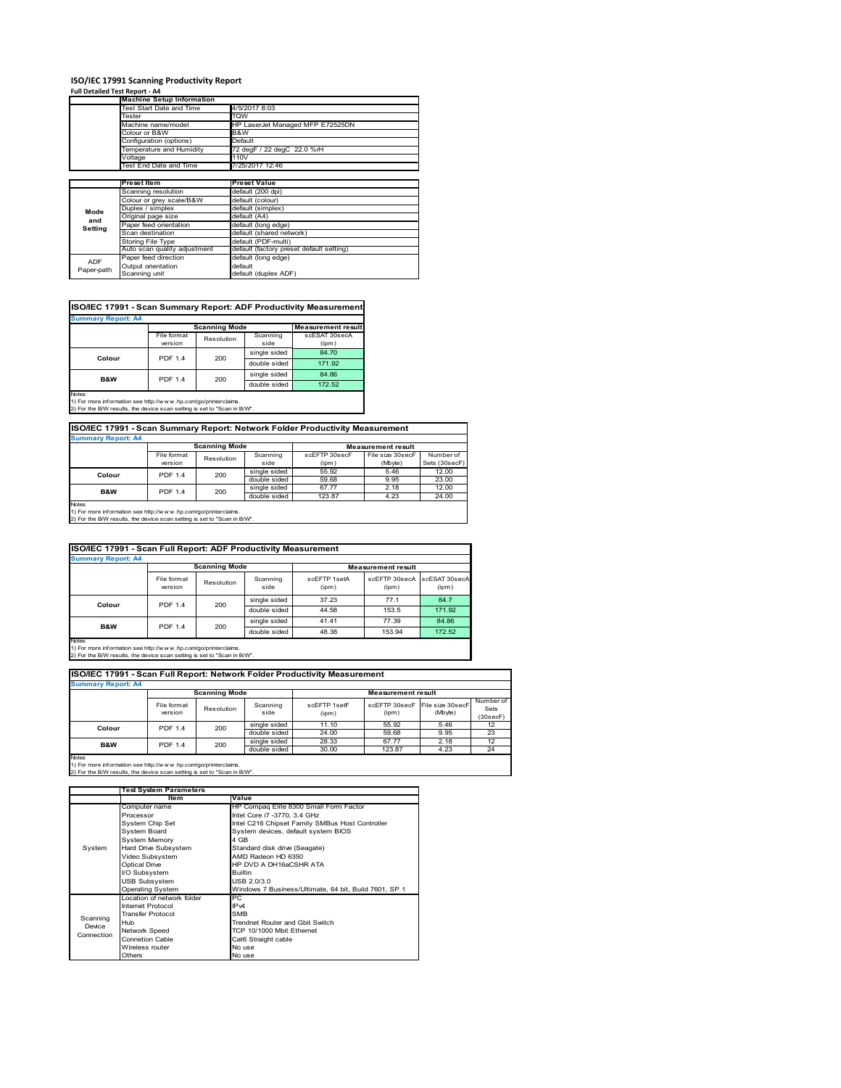## **ISO/IEC 17991 Scanning Productivity Report Full Detailed Test Report ‐ A4 Machine Setup Information**

|            | Test Start Date and Time                                                                                                                                                                                                                                                                                                                                                                                                    | 4/5/2017 8:03                            |  |  |  |  |
|------------|-----------------------------------------------------------------------------------------------------------------------------------------------------------------------------------------------------------------------------------------------------------------------------------------------------------------------------------------------------------------------------------------------------------------------------|------------------------------------------|--|--|--|--|
|            | <b>Machine Setup Information</b><br>Tester<br>Machine name/model<br>Colour or B&W<br>Configuration (options)<br>Temperature and Humidity<br>Voltage<br>Test End Date and Time<br><b>Preset Item</b><br>Scanning resolution<br>Colour or grey scale/B&W<br>Duplex / simplex<br>Original page size<br>Paper feed orientation<br>Scan destination<br>Storing File Type<br>Auto scan quality adjustment<br>Paper feed direction | TQW                                      |  |  |  |  |
|            |                                                                                                                                                                                                                                                                                                                                                                                                                             | HP LaserJet Managed MFP E72525DN         |  |  |  |  |
|            |                                                                                                                                                                                                                                                                                                                                                                                                                             | B&W                                      |  |  |  |  |
|            |                                                                                                                                                                                                                                                                                                                                                                                                                             | Default                                  |  |  |  |  |
|            |                                                                                                                                                                                                                                                                                                                                                                                                                             | 72 degF / 22 degC 22.0 %rH               |  |  |  |  |
|            |                                                                                                                                                                                                                                                                                                                                                                                                                             | 110V                                     |  |  |  |  |
|            |                                                                                                                                                                                                                                                                                                                                                                                                                             | 7/25/2017 12:46                          |  |  |  |  |
|            |                                                                                                                                                                                                                                                                                                                                                                                                                             |                                          |  |  |  |  |
|            |                                                                                                                                                                                                                                                                                                                                                                                                                             | <b>Preset Value</b>                      |  |  |  |  |
|            |                                                                                                                                                                                                                                                                                                                                                                                                                             | default (200 dpi)                        |  |  |  |  |
|            |                                                                                                                                                                                                                                                                                                                                                                                                                             | default (colour)                         |  |  |  |  |
| Mode       |                                                                                                                                                                                                                                                                                                                                                                                                                             | default (simplex)                        |  |  |  |  |
|            |                                                                                                                                                                                                                                                                                                                                                                                                                             | default (A4)                             |  |  |  |  |
| and        |                                                                                                                                                                                                                                                                                                                                                                                                                             | default (long edge)                      |  |  |  |  |
| Setting    |                                                                                                                                                                                                                                                                                                                                                                                                                             | default (shared network)                 |  |  |  |  |
|            |                                                                                                                                                                                                                                                                                                                                                                                                                             | default (PDF-multi)                      |  |  |  |  |
|            |                                                                                                                                                                                                                                                                                                                                                                                                                             | default (factory preset default setting) |  |  |  |  |
| <b>ADF</b> |                                                                                                                                                                                                                                                                                                                                                                                                                             | default (long edge)                      |  |  |  |  |
|            | Output orientation                                                                                                                                                                                                                                                                                                                                                                                                          | default                                  |  |  |  |  |
| Paper-path | Scanning unit                                                                                                                                                                                                                                                                                                                                                                                                               | default (duplex ADF)                     |  |  |  |  |

| ISO/IEC 17991 - Scan Summary Report: ADF Productivity Measurement |                |                      |              |                           |  |  |  |  |  |
|-------------------------------------------------------------------|----------------|----------------------|--------------|---------------------------|--|--|--|--|--|
| <b>Summary Report: A4</b>                                         |                |                      |              |                           |  |  |  |  |  |
|                                                                   |                | <b>Scanning Mode</b> |              | <b>Measurement result</b> |  |  |  |  |  |
|                                                                   | File format    | Resolution           | Scanning     | scESAT 30secA             |  |  |  |  |  |
|                                                                   | version        |                      | side         | (ipm)                     |  |  |  |  |  |
| Colour                                                            | <b>PDF 1.4</b> | 200                  | single sided | 84.70                     |  |  |  |  |  |
|                                                                   |                |                      | double sided | 171.92                    |  |  |  |  |  |
| <b>B&amp;W</b>                                                    | <b>PDF 1.4</b> | 200                  | single sided | 84.86                     |  |  |  |  |  |
|                                                                   |                |                      | double sided | 172.52                    |  |  |  |  |  |
| Notes                                                             |                |                      |              |                           |  |  |  |  |  |

Notes 1) For more information see http://w w w .hp.com/go/printerclaims. 2) For the B/W results, the device scan setting is set to "Scan in B/W".

| ISO/IEC 17991 - Scan Summary Report: Network Folder Productivity Measurement |                      |            |              |                           |                  |               |  |  |  |
|------------------------------------------------------------------------------|----------------------|------------|--------------|---------------------------|------------------|---------------|--|--|--|
| <b>Summary Report: A4</b>                                                    |                      |            |              |                           |                  |               |  |  |  |
|                                                                              | <b>Scanning Mode</b> |            |              | <b>Measurement result</b> |                  |               |  |  |  |
|                                                                              | File format          | Resolution | Scanning     | scEFTP 30secF             | File size 30secF | Number of     |  |  |  |
|                                                                              | version              |            | side         | (ipm)                     | (Mbyte)          | Sets (30secF) |  |  |  |
| Colour                                                                       | <b>PDF 1.4</b>       | 200        | single sided | 55.92                     | 5.46             | 12.00         |  |  |  |
|                                                                              |                      |            | double sided | 59.68                     | 9.95             | 23.00         |  |  |  |
| <b>B&amp;W</b>                                                               | <b>PDF 1.4</b>       | 200        | single sided | 67.77                     | 2.18             | 12.00         |  |  |  |
|                                                                              |                      |            | double sided | 123.87                    | 4.23             | 24.00         |  |  |  |

single sided double sided 123.87 4.23 24.00 **B&W** PDF 1.4 200

Notes 1) For more information see http://w w w .hp.com/go/printerclaims. 2) For the B/W results, the device scan setting is set to "Scan in B/W".

| ISO/IEC 17991 - Scan Full Report: ADF Productivity Measurement |                        |                       |                  |                           |                        |                        |  |  |  |
|----------------------------------------------------------------|------------------------|-----------------------|------------------|---------------------------|------------------------|------------------------|--|--|--|
| <b>Summary Report: A4</b>                                      |                        |                       |                  |                           |                        |                        |  |  |  |
|                                                                | <b>Scanning Mode</b>   |                       |                  | <b>Measurement result</b> |                        |                        |  |  |  |
|                                                                | File format<br>version | Resolution            | Scanning<br>side | scFFTP 1setA<br>(ipm)     | scEETP 30secA<br>(ipm) | scESAT 30secA<br>(ipm) |  |  |  |
| Colour                                                         |                        | <b>PDF 1.4</b><br>200 | single sided     | 37.23                     | 77.1                   | 84.7                   |  |  |  |
|                                                                |                        |                       | double sided     | 44.58                     | 153.5                  | 171.92                 |  |  |  |
| <b>B&amp;W</b>                                                 |                        |                       | single sided     | 41.41                     | 77.39                  | 84.86                  |  |  |  |
|                                                                | <b>PDF 1.4</b><br>200  |                       | double sided     | 48.38                     | 153.94                 | 172.52                 |  |  |  |
| <b>Notes</b>                                                   |                        |                       |                  |                           |                        |                        |  |  |  |

Notes 1) For more information see http://w w w .hp.com/go/printerclaims. 2) For the B/W results, the device scan setting is set to "Scan in B/W".

| ISO/IEC 17991 - Scan Full Report: Network Folder Productivity Measurement<br><b>Summary Report: A4</b> |                        |            |                  |                       |                           |                             |                               |  |  |  |  |  |
|--------------------------------------------------------------------------------------------------------|------------------------|------------|------------------|-----------------------|---------------------------|-----------------------------|-------------------------------|--|--|--|--|--|
|                                                                                                        | <b>Scanning Mode</b>   |            |                  |                       | <b>Measurement result</b> |                             |                               |  |  |  |  |  |
|                                                                                                        | File format<br>version | Resolution | Scanning<br>side | scEFTP 1setF<br>(ipm) | scEFTP 30secF<br>(ipm)    | File size 30secF<br>(Mbyte) | Number of<br>Sets<br>(30secF) |  |  |  |  |  |
| Colour                                                                                                 | <b>PDF 1.4</b>         | 200        | single sided     | 11.10                 | 55.92                     | 5.46                        | 12 <sup>2</sup>               |  |  |  |  |  |
|                                                                                                        |                        |            | double sided     | 24.00                 | 59.68                     | 9.95                        | 23                            |  |  |  |  |  |
| <b>B&amp;W</b>                                                                                         | <b>PDF 1.4</b>         | 200        | single sided     | 28.33                 | 67.77                     | 2.18                        | 12                            |  |  |  |  |  |
|                                                                                                        |                        |            | double sided     | 30.00                 | 123.87                    | 4.23                        | 24                            |  |  |  |  |  |
| <b>Notes</b>                                                                                           |                        |            |                  |                       |                           |                             |                               |  |  |  |  |  |

|            | <b>Test System Parameters</b> |                                                       |  |  |  |
|------------|-------------------------------|-------------------------------------------------------|--|--|--|
|            | Item                          | Value                                                 |  |  |  |
|            | Computer name                 | HP Compaq Elite 8300 Small Form Factor                |  |  |  |
|            | Processor                     | Intel Core i7 -3770, 3.4 GHz                          |  |  |  |
|            | System Chip Set               | Intel C216 Chipset Family SMBus Host Controller       |  |  |  |
|            | System Board                  | System devices, default system BIOS                   |  |  |  |
|            | <b>System Memory</b>          | 4 GB                                                  |  |  |  |
| System     | Hard Drive Subsystem          | Standard disk drive (Seagate)                         |  |  |  |
|            | Video Subsystem               | AMD Radeon HD 6350                                    |  |  |  |
|            | Optical Drive                 | HP DVD A DH16aCSHR ATA                                |  |  |  |
|            | I/O Subsystem                 | <b>Builtin</b>                                        |  |  |  |
|            | <b>USB Subsystem</b>          | USB 2.0/3.0                                           |  |  |  |
|            | <b>Operating System</b>       | Windows 7 Business/Ultimate, 64 bit, Build 7601, SP 1 |  |  |  |
|            | I ocation of network folder   | PC.                                                   |  |  |  |
|            | Internet Protocol             | IP <sub>v4</sub>                                      |  |  |  |
| Scanning   | <b>Transfer Protocol</b>      | <b>SMB</b>                                            |  |  |  |
| Device     | Hub                           | Trendnet Router and Gbit Switch                       |  |  |  |
| Connection | Network Speed                 | TCP 10/1000 Mbit Ethernet                             |  |  |  |
|            | Connetion Cable               | Cat6 Straight cable                                   |  |  |  |
|            | Wireless router               | No use                                                |  |  |  |
|            | Others                        | No use                                                |  |  |  |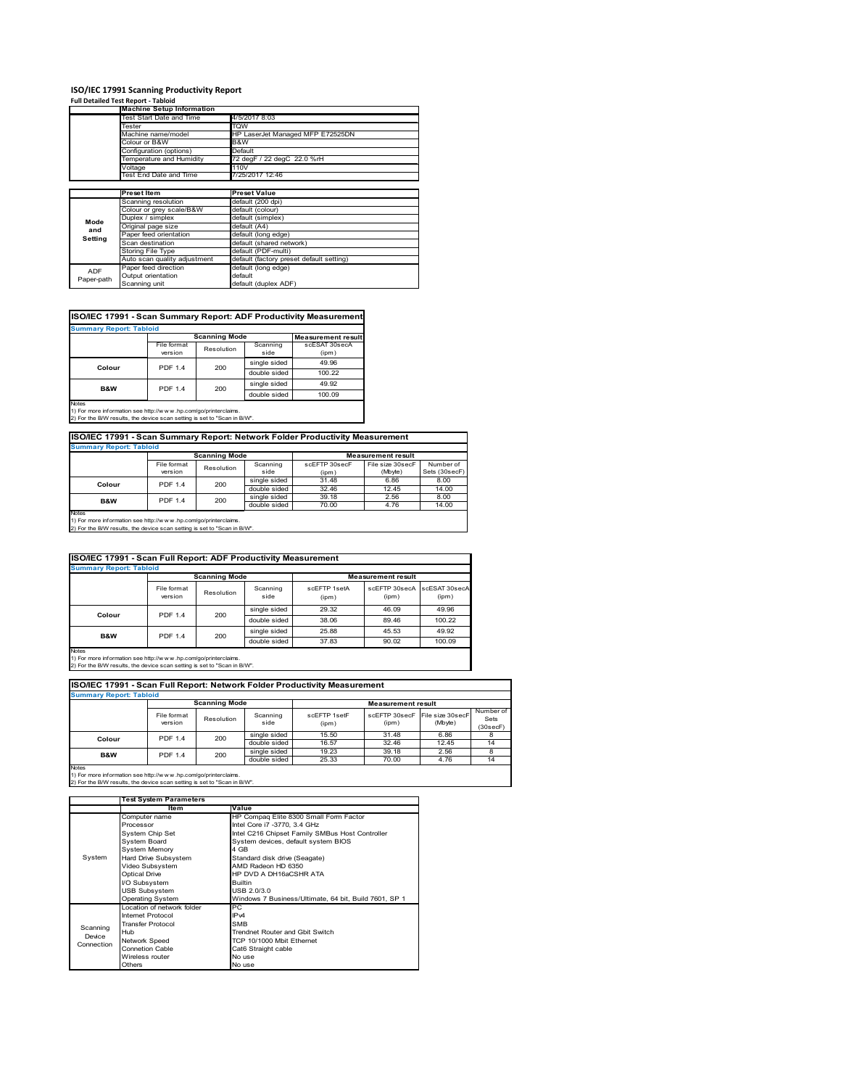### **ISO/IEC 17991 Scanning Productivity Report**

|            | <b>Full Detailed Test Report - Tabloid</b> |                                          |  |  |
|------------|--------------------------------------------|------------------------------------------|--|--|
|            | <b>Machine Setup Information</b>           |                                          |  |  |
|            | Test Start Date and Time                   | 4/5/2017 8:03                            |  |  |
|            | Tester                                     | TQW                                      |  |  |
|            | Machine name/model                         | HP LaserJet Managed MFP E72525DN         |  |  |
|            | Colour or B&W                              | B&W                                      |  |  |
|            | Configuration (options)                    | Default                                  |  |  |
|            | Temperature and Humidity                   | 72 degF / 22 degC 22.0 %rH               |  |  |
|            | Voltage                                    | 110V                                     |  |  |
|            | Test End Date and Time                     | 7/25/2017 12:46                          |  |  |
|            |                                            |                                          |  |  |
|            | <b>Preset Item</b>                         | <b>Preset Value</b>                      |  |  |
|            | Scanning resolution                        | default (200 dpi)                        |  |  |
|            | Colour or grey scale/B&W                   | default (colour)                         |  |  |
| Mode       | Duplex / simplex                           | default (simplex)                        |  |  |
| and        | Original page size                         | default (A4)                             |  |  |
| Setting    | Paper feed orientation                     | default (long edge)                      |  |  |
|            | Scan destination                           | default (shared network)                 |  |  |
|            | Storing File Type                          | default (PDF-multi)                      |  |  |
|            | Auto scan quality adjustment               | default (factory preset default setting) |  |  |
| <b>ADF</b> | Paper feed direction                       | default (long edge)                      |  |  |
| Paper-path | Output orientation                         | default                                  |  |  |
|            | Scanning unit                              | default (duplex ADF)                     |  |  |

### **ISO/IEC 17991 - Scan Summary Report: ADF Productivity Measurement**

| <b>Summary Report: Tabloid</b> |                                                                        |              |                  |                           |
|--------------------------------|------------------------------------------------------------------------|--------------|------------------|---------------------------|
|                                |                                                                        |              |                  | <b>Measurement result</b> |
|                                | File format<br>version                                                 | Resolution   | Scanning<br>side | scESAT 30secA<br>(ipm)    |
| Colour                         |                                                                        |              | single sided     | 49.96                     |
|                                | <b>Scanning Mode</b><br>200<br><b>PDF 1.4</b><br><b>PDF 1.4</b><br>200 | double sided | 100.22           |                           |
| <b>B&amp;W</b>                 |                                                                        |              | single sided     | 49.92                     |
|                                |                                                                        |              | double sided     | 100.09                    |
| <b>Notes</b>                   |                                                                        |              |                  |                           |

Notes 1) For more information see http://w w w .hp.com/go/printerclaims. 2) For the B/W results, the device scan setting is set to "Scan in B/W".

### **ISO/IEC 17991 - Scan Summary Report: Network Folder Productivity Measurement**

| <b>Summary Report: Tabloid</b> |                      |            |              |                           |                  |               |  |
|--------------------------------|----------------------|------------|--------------|---------------------------|------------------|---------------|--|
|                                | <b>Scanning Mode</b> |            |              | <b>Measurement result</b> |                  |               |  |
|                                | File format          | Resolution | Scanning     | scEFTP 30secF             | File size 30secF | Number of     |  |
|                                | version              |            | side         | (ipm)                     | (Mbyte)          | Sets (30secF) |  |
| Colour                         | <b>PDF 1.4</b>       | 200        | single sided | 31.48                     | 6.86             | 8.00          |  |
|                                |                      |            | double sided | 32.46                     | 12.45            | 14.00         |  |
| B&W                            | <b>PDF 1.4</b>       | 200        | single sided | 39.18                     | 2.56             | 8.00          |  |
|                                |                      |            | double sided | 70.00                     | 4.76             | 14.00         |  |
| <b>Notes</b>                   |                      |            |              |                           |                  |               |  |

Notes 1) For more information see http://w w w .hp.com/go/printerclaims. 2) For the B/W results, the device scan setting is set to "Scan in B/W".

| ISO/IEC 17991 - Scan Full Report: ADF Productivity Measurement |                                |                      |                  |                       |                                      |        |  |  |  |
|----------------------------------------------------------------|--------------------------------|----------------------|------------------|-----------------------|--------------------------------------|--------|--|--|--|
|                                                                | <b>Summary Report: Tabloid</b> |                      |                  |                       |                                      |        |  |  |  |
|                                                                |                                | <b>Scanning Mode</b> |                  |                       | <b>Measurement result</b>            |        |  |  |  |
|                                                                | File format<br>version         | Resolution           | Scanning<br>side | scFFTP 1setA<br>(ipm) | scEFTP 30secA scESAT 30secA<br>(ipm) | (ipm)  |  |  |  |
| Colour                                                         | <b>PDF 1.4</b><br>200          |                      | single sided     | 29.32                 | 46.09                                | 49.96  |  |  |  |
|                                                                |                                | double sided         | 38.06            | 89.46                 | 100.22                               |        |  |  |  |
| <b>B&amp;W</b>                                                 | <b>PDF 1.4</b>                 | 200                  | single sided     | 25.88                 | 45.53                                | 49.92  |  |  |  |
|                                                                |                                |                      | double sided     | 37.83                 | 90.02                                | 100.09 |  |  |  |
| <b>Notes</b>                                                   |                                |                      |                  |                       |                                      |        |  |  |  |

Notes 1) For more information see http://w w w .hp.com/go/printerclaims. 2) For the B/W results, the device scan setting is set to "Scan in B/W".

| ISO/IEC 17991 - Scan Full Report: Network Folder Productivity Measurement |                        |            |                           |                       |                                         |         |                               |  |  |
|---------------------------------------------------------------------------|------------------------|------------|---------------------------|-----------------------|-----------------------------------------|---------|-------------------------------|--|--|
| <b>Summary Report: Tabloid</b>                                            |                        |            |                           |                       |                                         |         |                               |  |  |
| <b>Scanning Mode</b>                                                      |                        |            | <b>Measurement result</b> |                       |                                         |         |                               |  |  |
|                                                                           | File format<br>version | Resolution | Scanning<br>side          | scFFTP 1setF<br>(ipm) | scEFTP 30secF File size 30secF<br>(ipm) | (Mbyte) | Number of<br>Sets<br>(30secF) |  |  |
| Colour                                                                    | <b>PDF 1.4</b>         | 200        | single sided              | 15.50                 | 31.48                                   | 6.86    |                               |  |  |
|                                                                           |                        |            | double sided              | 16.57                 | 32.46                                   | 12.45   | 14                            |  |  |
| <b>B&amp;W</b>                                                            | <b>PDF 1.4</b>         | 200        | single sided              | 19.23                 | 39.18                                   | 2.56    | 8                             |  |  |
|                                                                           |                        |            | double sided              | 25.33                 | 70.00                                   | 4.76    | 14                            |  |  |
| <b>Notes</b>                                                              |                        |            |                           |                       |                                         |         |                               |  |  |

|            | <b>Test System Parameters</b> |                                                       |  |  |
|------------|-------------------------------|-------------------------------------------------------|--|--|
|            | Item                          | Value                                                 |  |  |
|            | Computer name                 | HP Compaq Elite 8300 Small Form Factor                |  |  |
|            | Processor                     | Intel Core i7 -3770, 3.4 GHz                          |  |  |
|            | System Chip Set               | Intel C216 Chipset Family SMBus Host Controller       |  |  |
|            | System Board                  | System devices, default system BIOS                   |  |  |
|            | <b>System Memory</b>          | 4 GB                                                  |  |  |
| System     | Hard Drive Subsystem          | Standard disk drive (Seagate)                         |  |  |
|            | Video Subsystem               | AMD Radeon HD 6350                                    |  |  |
|            | <b>Optical Drive</b>          | HP DVD A DH16aCSHR ATA                                |  |  |
|            | I/O Subsystem                 | <b>Builtin</b>                                        |  |  |
|            | <b>USB Subsystem</b>          | USB 2.0/3.0                                           |  |  |
|            | <b>Operating System</b>       | Windows 7 Business/Ultimate, 64 bit, Build 7601, SP 1 |  |  |
|            | I ocation of network folder   | РC                                                    |  |  |
|            | Internet Protocol             | IP <sub>v4</sub>                                      |  |  |
| Scanning   | <b>Transfer Protocol</b>      | <b>SMB</b>                                            |  |  |
| Device     | Hub                           | Trendnet Router and Gbit Switch                       |  |  |
| Connection | Network Speed                 | TCP 10/1000 Mbit Ethernet                             |  |  |
|            | <b>Connetion Cable</b>        | Cat6 Straight cable                                   |  |  |
|            | Wireless router               | No use                                                |  |  |
|            | Others                        | No use                                                |  |  |